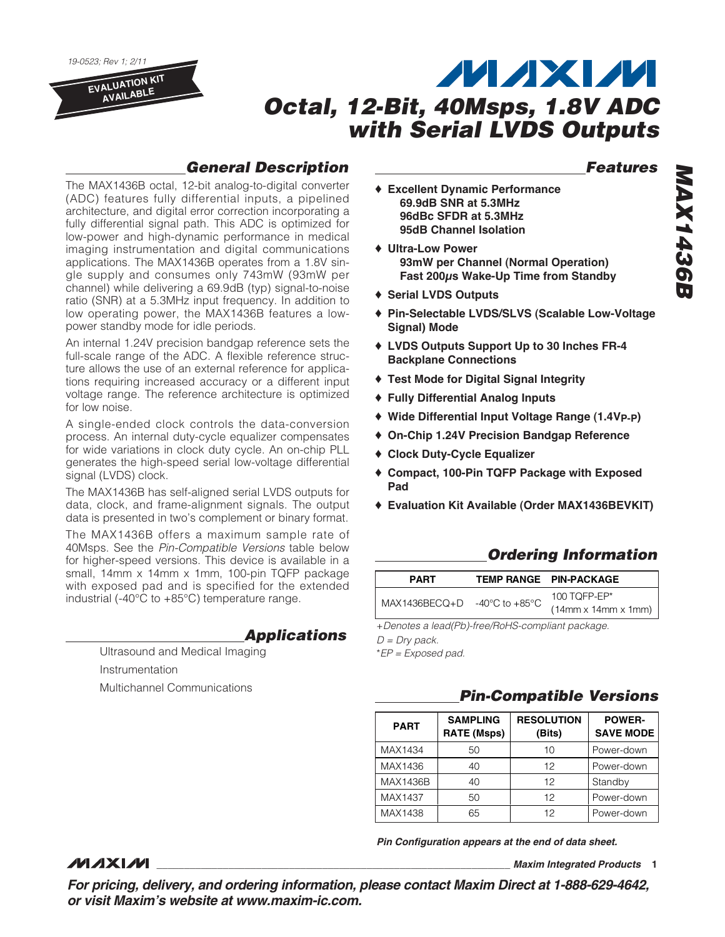

# **General Description**

The MAX1436B octal, 12-bit analog-to-digital converter (ADC) features fully differential inputs, a pipelined architecture, and digital error correction incorporating a fully differential signal path. This ADC is optimized for low-power and high-dynamic performance in medical imaging instrumentation and digital communications applications. The MAX1436B operates from a 1.8V single supply and consumes only 743mW (93mW per channel) while delivering a 69.9dB (typ) signal-to-noise ratio (SNR) at a 5.3MHz input frequency. In addition to low operating power, the MAX1436B features a lowpower standby mode for idle periods.

An internal 1.24V precision bandgap reference sets the full-scale range of the ADC. A flexible reference structure allows the use of an external reference for applications requiring increased accuracy or a different input voltage range. The reference architecture is optimized for low noise.

A single-ended clock controls the data-conversion process. An internal duty-cycle equalizer compensates for wide variations in clock duty cycle. An on-chip PLL generates the high-speed serial low-voltage differential signal (LVDS) clock.

The MAX1436B has self-aligned serial LVDS outputs for data, clock, and frame-alignment signals. The output data is presented in two's complement or binary format.

The MAX1436B offers a maximum sample rate of 40Msps. See the Pin-Compatible Versions table below for higher-speed versions. This device is available in a small, 14mm x 14mm x 1mm, 100-pin TQFP package with exposed pad and is specified for the extended industrial (-40°C to +85°C) temperature range.

### **Applications**

Ultrasound and Medical Imaging Instrumentation Multichannel Communications

*MAXM* 

#### ♦ **Excellent Dynamic Performance 69.9dB SNR at 5.3MHz 96dBc SFDR at 5.3MHz 95dB Channel Isolation**

- ♦ **Ultra-Low Power 93mW per Channel (Normal Operation) Fast 200μs Wake-Up Time from Standby**
- ♦ **Serial LVDS Outputs**
- ♦ **Pin-Selectable LVDS/SLVS (Scalable Low-Voltage Signal) Mode**
- ♦ **LVDS Outputs Support Up to 30 Inches FR-4 Backplane Connections**
- ♦ **Test Mode for Digital Signal Integrity**
- ♦ **Fully Differential Analog Inputs**
- ♦ **Wide Differential Input Voltage Range (1.4VP-P)**
- ♦ **On-Chip 1.24V Precision Bandgap Reference**
- ♦ **Clock Duty-Cycle Equalizer**
- ♦ **Compact, 100-Pin TQFP Package with Exposed Pad**
- ♦ **Evaluation Kit Available (Order MAX1436BEVKIT)**

# **Ordering Information**

| <b>PART</b>                                      | TEMP RANGE PIN-PACKAGE                             |
|--------------------------------------------------|----------------------------------------------------|
| MAX1436BECQ+D $-40^{\circ}$ C to $+85^{\circ}$ C | 100 TOFP-EP $*$<br>$(14mm \times 14mm \times 1mm)$ |

+Denotes a lead(Pb)-free/RoHS-compliant package.

 $D = Dry$  pack.

\*EP = Exposed pad.

# **Pin-Compatible Versions**

| <b>PART</b>     | <b>SAMPLING</b><br><b>RATE (Msps)</b> | <b>RESOLUTION</b><br>(Bits) | <b>POWER-</b><br><b>SAVE MODE</b> |
|-----------------|---------------------------------------|-----------------------------|-----------------------------------|
| MAX1434         | 50                                    | 10                          | Power-down                        |
| MAX1436         | 40                                    | 12                          | Power-down                        |
| <b>MAX1436B</b> | 40                                    | 12                          | Standby                           |
| MAX1437         | 50                                    | 12                          | Power-down                        |
| MAX1438         | 65                                    | 12                          | Power-down                        |

**Pin Configuration appears at the end of data sheet.**

#### **\_\_\_\_\_\_\_\_\_\_\_\_\_\_\_\_\_\_\_\_\_\_\_\_\_\_\_\_\_\_\_\_\_\_\_\_\_\_\_\_\_\_\_\_\_\_\_\_\_\_\_\_\_\_\_\_\_\_\_\_\_\_\_\_ Maxim Integrated Products 1**

**For pricing, delivery, and ordering information, please contact Maxim Direct at 1-888-629-4642, or visit Maxim's website at www.maxim-ic.com.**

**Features**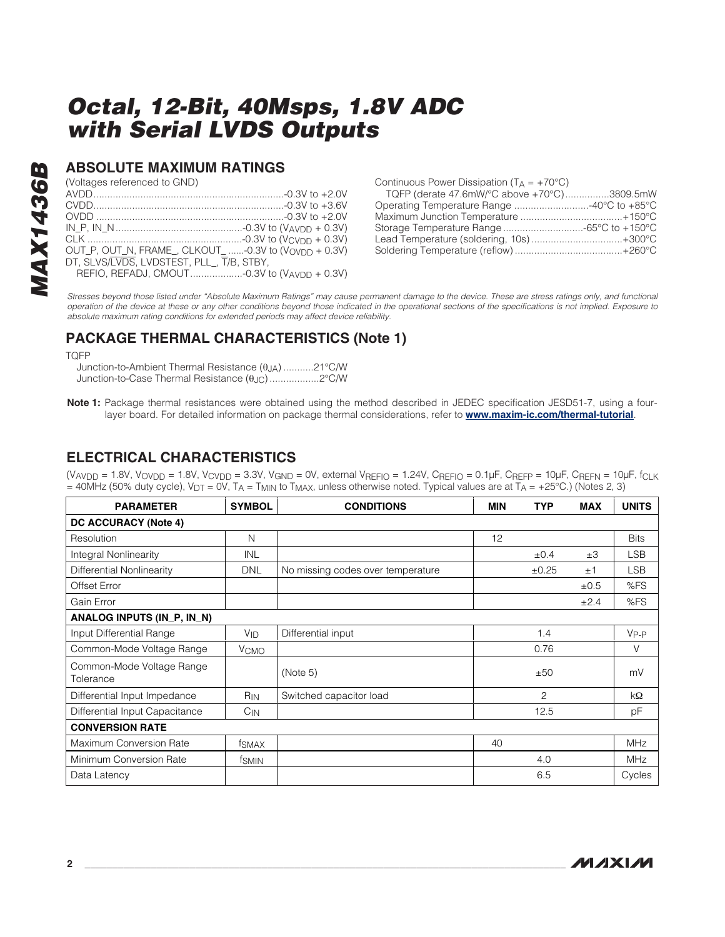### **ABSOLUTE MAXIMUM RATINGS**

(Voltages referenced to GND)

| OUT P, OUT_N, FRAME_, CLKOUT_ -0.3V to (VOVDD + 0.3V) |  |
|-------------------------------------------------------|--|
| DT. SLVS/LVDS. LVDSTEST. PLL. T/B. STBY.              |  |
| REFIO, REFADJ, CMOUT-0.3V to (VAVDD + 0.3V)           |  |

| Continuous Power Dissipation ( $T_A = +70^{\circ}C$ ) |  |
|-------------------------------------------------------|--|
| TQFP (derate 47.6mW/°C above +70°C)3809.5mW           |  |
|                                                       |  |
|                                                       |  |
|                                                       |  |
| Lead Temperature (soldering, 10s)+300°C               |  |
|                                                       |  |

Stresses beyond those listed under "Absolute Maximum Ratings" may cause permanent damage to the device. These are stress ratings only, and functional operation of the device at these or any other conditions beyond those indicated in the operational sections of the specifications is not implied. Exposure to absolute maximum rating conditions for extended periods may affect device reliability.

# **PACKAGE THERMAL CHARACTERISTICS (Note 1)**

TQFP

**MAX1436B**

**MAX1436B** 

Junction-to-Ambient Thermal Resistance (θJA) ...........21°C/W Junction-to-Case Thermal Resistance (θJC) ..................2°C/W

**Note 1:** Package thermal resistances were obtained using the method described in JEDEC specification JESD51-7, using a fourlayer board. For detailed information on package thermal considerations, refer to **www.maxim-ic.com/thermal-tutorial**.

# **ELECTRICAL CHARACTERISTICS**

(VAVDD = 1.8V, VOVDD = 1.8V, VCVDD = 3.3V, VGND = 0V, external VREFIO = 1.24V, CREFIO =  $0.1\mu$ F, CREFP =  $10\mu$ F, CREFN =  $10\mu$ F, fcLK  $=$  40MHz (50% duty cycle), V<sub>DT</sub> = 0V, T<sub>A</sub> = T<sub>MIN</sub> to T<sub>MAX</sub>, unless otherwise noted. Typical values are at T<sub>A</sub> = +25°C.) (Notes 2, 3)

| <b>PARAMETER</b>                       | <b>SYMBOL</b><br><b>CONDITIONS</b> |                                   | <b>MIN</b> | <b>TYP</b>     | <b>MAX</b> | <b>UNITS</b> |  |  |
|----------------------------------------|------------------------------------|-----------------------------------|------------|----------------|------------|--------------|--|--|
| <b>DC ACCURACY (Note 4)</b>            |                                    |                                   |            |                |            |              |  |  |
| Resolution                             | N                                  |                                   | 12         |                |            | <b>Bits</b>  |  |  |
| <b>Integral Nonlinearity</b>           | <b>INL</b>                         |                                   |            | ±0.4           | ±3         | <b>LSB</b>   |  |  |
| Differential Nonlinearity              | <b>DNL</b>                         | No missing codes over temperature |            | ±0.25          | ±1         | <b>LSB</b>   |  |  |
| Offset Error                           |                                    |                                   |            |                | ±0.5       | %FS          |  |  |
| Gain Error                             |                                    |                                   |            |                | ±2.4       | %FS          |  |  |
| ANALOG INPUTS (IN_P, IN_N)             |                                    |                                   |            |                |            |              |  |  |
| Input Differential Range               | V <sub>ID</sub>                    | Differential input                |            | 1.4            |            | $V_{P-P}$    |  |  |
| Common-Mode Voltage Range              | <b>V</b> <sub>CMO</sub>            |                                   |            | 0.76           |            | V            |  |  |
| Common-Mode Voltage Range<br>Tolerance |                                    | (Note 5)                          |            | ±50            |            | mV           |  |  |
| Differential Input Impedance           | RIN                                | Switched capacitor load           |            | $\overline{c}$ |            | kΩ           |  |  |
| Differential Input Capacitance         | $C_{IN}$                           |                                   |            | 12.5           |            | pF           |  |  |
| <b>CONVERSION RATE</b>                 |                                    |                                   |            |                |            |              |  |  |
| Maximum Conversion Rate                | tsmax                              |                                   | 40         |                |            | <b>MHz</b>   |  |  |
| Minimum Conversion Rate                | <sup>t</sup> SMIN                  |                                   |            | 4.0            |            | <b>MHz</b>   |  |  |
| Data Latency                           |                                    |                                   |            | 6.5            |            | Cycles       |  |  |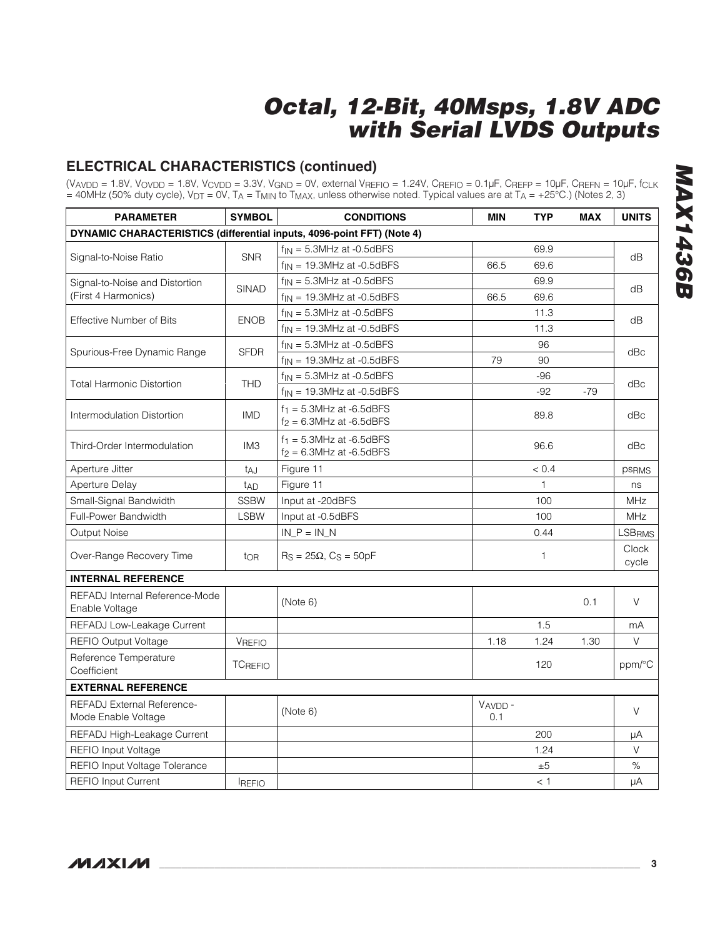# **ELECTRICAL CHARACTERISTICS (continued)**

(VAVDD = 1.8V, VOVDD = 1.8V, VCVDD = 3.3V, VGND = 0V, external VREFIO = 1.24V, CREFIO = 0.1µF, CREFP = 10µF, CREFN = 10µF, fCLK = 40MHz (50% duty cycle), V<sub>DT</sub> = 0V, T<sub>A</sub> = T<sub>MIN</sub> to T<sub>MAX</sub>, unless otherwise noted. Typical values are at T<sub>A</sub> = +25°C.) (Notes 2, 3)

| <b>PARAMETER</b>                                                       | <b>SYMBOL</b>   | <b>CONDITIONS</b>                                            | <b>MIN</b>    | <b>TYP</b> | <b>MAX</b> | <b>UNITS</b>   |
|------------------------------------------------------------------------|-----------------|--------------------------------------------------------------|---------------|------------|------------|----------------|
| DYNAMIC CHARACTERISTICS (differential inputs, 4096-point FFT) (Note 4) |                 |                                                              |               |            |            |                |
|                                                                        |                 | $f_{IN} = 5.3$ MHz at -0.5dBFS                               |               | 69.9       |            |                |
| Signal-to-Noise Ratio                                                  | <b>SNR</b>      | $f_{IN}$ = 19.3MHz at -0.5dBFS                               | 66.5          | 69.6       |            | dB             |
| Signal-to-Noise and Distortion                                         | <b>SINAD</b>    | $f_{IN} = 5.3$ MHz at -0.5dBFS                               |               | 69.9       |            | dB             |
| (First 4 Harmonics)                                                    |                 | $f_{IN}$ = 19.3MHz at -0.5dBFS                               | 66.5          | 69.6       |            |                |
| <b>Effective Number of Bits</b>                                        | <b>ENOB</b>     | $f_{IN} = 5.3$ MHz at -0.5dBFS                               |               | 11.3       |            | dB             |
|                                                                        |                 | $f_{IN}$ = 19.3MHz at -0.5dBFS                               |               | 11.3       |            |                |
|                                                                        | <b>SFDR</b>     | $f_{IN} = 5.3$ MHz at -0.5dBFS                               |               | 96         |            | dBc            |
| Spurious-Free Dynamic Range                                            |                 | $f_{IN}$ = 19.3MHz at -0.5dBFS                               | 79            | 90         |            |                |
|                                                                        | <b>THD</b>      | $f_{IN} = 5.3$ MHz at -0.5dBFS                               |               | $-96$      |            |                |
| <b>Total Harmonic Distortion</b>                                       |                 | $f_{IN}$ = 19.3MHz at -0.5dBFS                               |               | $-92$      | $-79$      | dBc            |
| Intermodulation Distortion                                             | <b>IMD</b>      | $f_1 = 5.3$ MHz at -6.5dBFS<br>$12 = 6.3$ MHz at $-6.5$ dBFS |               | 89.8       |            | dBc            |
| Third-Order Intermodulation                                            | IM <sub>3</sub> | $f_1 = 5.3$ MHz at -6.5dBFS<br>$12 = 6.3$ MHz at -6.5dBFS    |               | 96.6       |            | dBc            |
| Aperture Jitter                                                        | t <sub>AJ</sub> | Figure 11                                                    |               | < 0.4      |            | <b>PSRMS</b>   |
| <b>Aperture Delay</b>                                                  | t <sub>AD</sub> | Figure 11                                                    |               | 1          |            | ns             |
| Small-Signal Bandwidth                                                 | <b>SSBW</b>     | Input at -20dBFS                                             |               | 100        |            | <b>MHz</b>     |
| Full-Power Bandwidth                                                   | <b>LSBW</b>     | Input at -0.5dBFS                                            |               | 100        |            | <b>MHz</b>     |
| Output Noise                                                           |                 | $IN_P = IN_N$                                                |               | 0.44       |            | LSBRMS         |
| Over-Range Recovery Time                                               | tor             | $R_S = 25\Omega$ , $C_S = 50pF$                              |               | 1          |            | Clock<br>cycle |
| <b>INTERNAL REFERENCE</b>                                              |                 |                                                              |               |            |            |                |
| REFADJ Internal Reference-Mode<br>Enable Voltage                       |                 | (Note 6)                                                     |               |            | 0.1        | $\vee$         |
| REFADJ Low-Leakage Current                                             |                 |                                                              |               | 1.5        |            | mA             |
| <b>REFIO Output Voltage</b>                                            | VREFIO          |                                                              | 1.18          | 1.24       | 1.30       | $\vee$         |
| Reference Temperature<br>Coefficient                                   | <b>TCREFIO</b>  |                                                              |               | 120        |            | ppm/°C         |
| <b>EXTERNAL REFERENCE</b>                                              |                 |                                                              |               |            |            |                |
| <b>REFADJ External Reference-</b><br>Mode Enable Voltage               |                 | (Note 6)                                                     | VAVDD-<br>0.1 |            |            | $\vee$         |
| REFADJ High-Leakage Current                                            |                 |                                                              |               | 200        |            | μA             |
| REFIO Input Voltage                                                    |                 |                                                              |               | 1.24       |            | $\vee$         |
| REFIO Input Voltage Tolerance                                          |                 |                                                              |               | ±5         |            | $\%$           |
| <b>REFIO Input Current</b>                                             | <b>REFIO</b>    |                                                              |               | < 1        |            | μA             |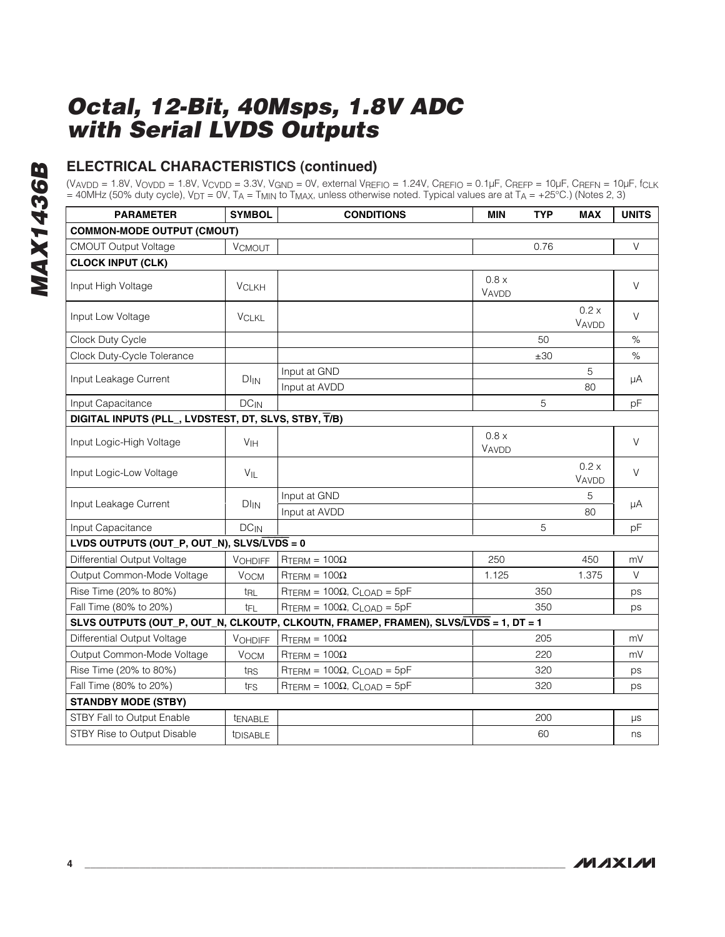# **ELECTRICAL CHARACTERISTICS (continued)**

 $(V_{AVDD} = 1.8V, V_{OVDD} = 1.8V, V_{CVDD} = 3.3V, V_{GND} = 0V,$  external  $V_{REFIO} = 1.24V, C_{REFIO} = 0.1 \mu F, C_{REFP} = 10 \mu F, C_{REFN} = 10 \mu F,$   $f_{CLK}$  $=$  40MHz (50% duty cycle), V<sub>DT</sub> = 0V, T<sub>A</sub> = T<sub>MIN</sub> to T<sub>MAX</sub>, unless otherwise noted. Typical values are at T<sub>A</sub> = +25°C.) (Notes 2, 3)

| <b>PARAMETER</b>                                     | <b>SYMBOL</b>         | <b>CONDITIONS</b>                                                                    | <b>MIN</b>     | <b>TYP</b> | <b>MAX</b>     | <b>UNITS</b> |
|------------------------------------------------------|-----------------------|--------------------------------------------------------------------------------------|----------------|------------|----------------|--------------|
| <b>COMMON-MODE OUTPUT (CMOUT)</b>                    |                       |                                                                                      |                |            |                |              |
| <b>CMOUT Output Voltage</b>                          | <b>VCMOUT</b>         |                                                                                      |                | 0.76       |                | V            |
| <b>CLOCK INPUT (CLK)</b>                             |                       |                                                                                      |                |            |                |              |
| Input High Voltage                                   | <b>VCLKH</b>          |                                                                                      | 0.8 x<br>VAVDD |            |                | V            |
| Input Low Voltage                                    | <b>VCLKL</b>          |                                                                                      |                |            | 0.2 x<br>VAVDD | $\vee$       |
| Clock Duty Cycle                                     |                       |                                                                                      |                | 50         |                | $\%$         |
| Clock Duty-Cycle Tolerance                           |                       |                                                                                      |                | ±30        |                | $\%$         |
|                                                      |                       | Input at GND                                                                         |                |            | 5              |              |
| Input Leakage Current                                | $DI_{IN}$             | Input at AVDD                                                                        |                |            | 80             | μA           |
| Input Capacitance                                    | $DC_{IN}$             |                                                                                      |                | 5          |                | pF           |
| DIGITAL INPUTS (PLL_, LVDSTEST, DT, SLVS, STBY, T/B) |                       |                                                                                      |                |            |                |              |
| Input Logic-High Voltage                             | V <sub>IH</sub>       |                                                                                      | 0.8 x<br>VAVDD |            |                | $\vee$       |
| Input Logic-Low Voltage                              | VIL                   |                                                                                      |                |            | 0.2 x<br>VAVDD | $\vee$       |
|                                                      |                       | Input at GND                                                                         |                |            | 5              |              |
| Input Leakage Current                                | $DI_{IN}$             | Input at AVDD                                                                        |                |            | 80             | μA           |
| Input Capacitance                                    | $DC_{IN}$             |                                                                                      |                | 5          |                | pF           |
| LVDS OUTPUTS (OUT_P, OUT_N), SLVS/LVDS = 0           |                       |                                                                                      |                |            |                |              |
| Differential Output Voltage                          | <b>VOHDIFF</b>        | $RTERM = 100\Omega$                                                                  | 250            |            | 450            | mV           |
| Output Common-Mode Voltage                           | <b>VOCM</b>           | $RTERM = 100\Omega$                                                                  | 1.125          |            | 1.375          | V            |
| Rise Time (20% to 80%)                               | t <sub>RL</sub>       | $RTERM = 100\Omega$ , $CLOAD = 5pF$                                                  |                | 350        |                | ps           |
| Fall Time (80% to 20%)                               | t <sub>FL</sub>       | $RTERM = 100\Omega$ , $CLOAD = 5pF$                                                  |                | 350        |                | ps           |
|                                                      |                       | SLVS OUTPUTS (OUT_P, OUT_N, CLKOUTP, CLKOUTN, FRAMEP, FRAMEN), SLVS/LVDS = 1, DT = 1 |                |            |                |              |
| Differential Output Voltage                          | <b>VOHDIFF</b>        | $RTERM = 100\Omega$                                                                  |                | 205        |                | mV           |
| Output Common-Mode Voltage                           | <b>VOCM</b>           | $RTERM = 100\Omega$                                                                  |                | 220        |                | mV           |
| Rise Time (20% to 80%)                               | t <sub>RS</sub>       | $RTERM = 100\Omega$ , $CLOAD = 5pF$                                                  |                | 320        |                | ps           |
| Fall Time (80% to 20%)                               | t <sub>FS</sub>       | $RTERM = 100\Omega$ , $CLOAD = 5pF$                                                  |                | 320        |                | ps           |
| <b>STANDBY MODE (STBY)</b>                           |                       |                                                                                      |                |            |                |              |
| STBY Fall to Output Enable                           | <b><i>LENABLE</i></b> |                                                                                      |                | 200        |                | μs           |
| STBY Rise to Output Disable                          | tDISABLE              |                                                                                      |                | 60         |                | ns           |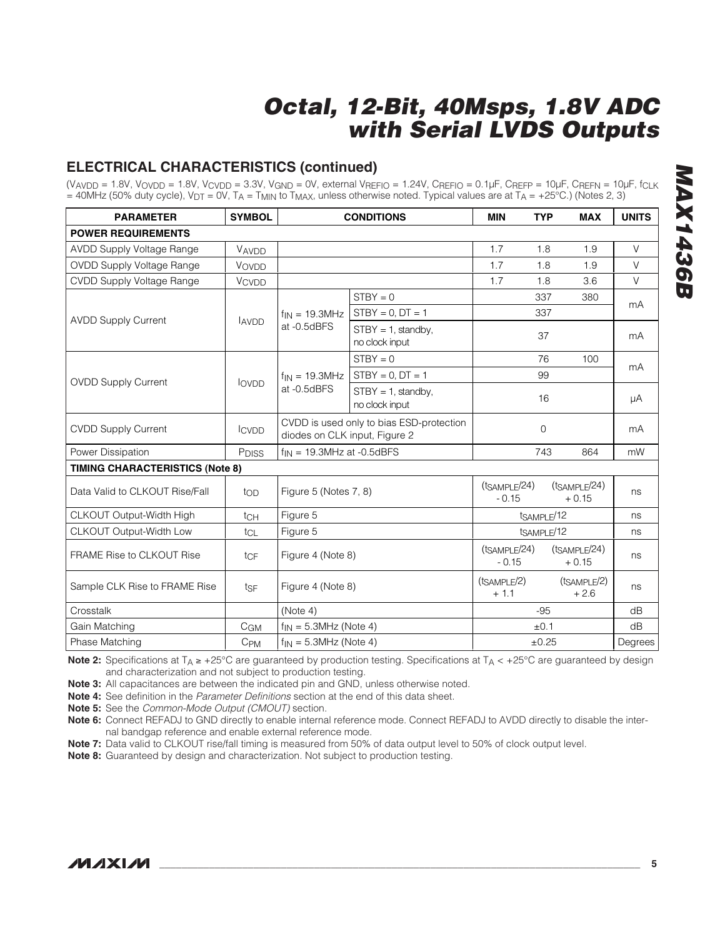# **ELECTRICAL CHARACTERISTICS (continued)**

(VAVDD = 1.8V, VOVDD = 1.8V, VCVDD = 3.3V, VGND = 0V, external VREFIO = 1.24V, CREFIO = 0.1µF, CREFP = 10µF, CREFN = 10µF, fCLK  $=$  40MHz (50% duty cycle), V<sub>DT</sub> = 0V, T<sub>A</sub> = T<sub>MIN</sub> to T<sub>MAX</sub>, unless otherwise noted. Typical values are at T<sub>A</sub> = +25°C.) (Notes 2, 3)

| <b>PARAMETER</b>                       | <b>SYMBOL</b>     |                                                                           | <b>CONDITIONS</b>                       | <b>MIN</b>                           | <b>TYP</b>        | <b>MAX</b>                           | <b>UNITS</b> |
|----------------------------------------|-------------------|---------------------------------------------------------------------------|-----------------------------------------|--------------------------------------|-------------------|--------------------------------------|--------------|
| <b>POWER REQUIREMENTS</b>              |                   |                                                                           |                                         |                                      |                   |                                      |              |
| <b>AVDD Supply Voltage Range</b>       | VAVDD             |                                                                           |                                         | 1.7                                  | 1.8               | 1.9                                  | V            |
| <b>OVDD Supply Voltage Range</b>       | VOVDD             |                                                                           |                                         | 1.7                                  | 1.8               | 1.9                                  | V            |
| CVDD Supply Voltage Range              | <b>VCVDD</b>      |                                                                           |                                         | 1.7                                  | 1.8               | 3.6                                  | V            |
|                                        |                   |                                                                           | $STBY = 0$                              |                                      | 337               | 380                                  | mA           |
| <b>AVDD Supply Current</b>             | <b>AVDD</b>       | $f_{IN} = 19.3 MHz$                                                       | $STBY = 0$ , $DT = 1$                   |                                      | 337               |                                      |              |
|                                        |                   | at -0.5dBFS                                                               | $STBY = 1$ , standby,<br>no clock input |                                      | 37                |                                      | mA           |
|                                        |                   |                                                                           | $STBY = 0$                              |                                      | 76                | 100                                  | mA           |
| <b>OVDD Supply Current</b>             |                   | $f_{IN} = 19.3 MHz$                                                       | $STBY = 0, DT = 1$                      |                                      | 99                |                                      |              |
|                                        | <b>LOVDD</b>      | at -0.5dBFS                                                               | $STBY = 1$ , standby,<br>no clock input |                                      | 16                |                                      | μA           |
| <b>CVDD Supply Current</b>             | <b>ICVDD</b>      | CVDD is used only to bias ESD-protection<br>diodes on CLK input, Figure 2 |                                         |                                      | $\overline{0}$    |                                      | mA           |
| Power Dissipation                      | P <sub>DISS</sub> |                                                                           | $f_{IN}$ = 19.3MHz at -0.5dBFS          |                                      | 743               | 864                                  | mW           |
| <b>TIMING CHARACTERISTICS (Note 8)</b> |                   |                                                                           |                                         |                                      |                   |                                      |              |
| Data Valid to CLKOUT Rise/Fall         | top               | Figure 5 (Notes 7, 8)                                                     |                                         | (t <sub>SAMPLE</sub> /24)<br>$-0.15$ |                   | (t <sub>SAMPLE</sub> /24)<br>$+0.15$ | ns           |
| CLKOUT Output-Width High               | tc <sub>H</sub>   | Figure 5<br>tSAMPLE/12                                                    |                                         |                                      | ns                |                                      |              |
| CLKOUT Output-Width Low                | tcL               | Figure 5                                                                  |                                         | tSAMPLE/12                           |                   |                                      | ns           |
| <b>FRAME Rise to CLKOUT Rise</b>       | tcF               |                                                                           | Figure 4 (Note 8)                       |                                      | $(t_{SAMPLE}/24)$ | (t <sub>SAMPLE</sub> /24)<br>$+0.15$ | ns           |
| Sample CLK Rise to FRAME Rise          | tsF               | Figure 4 (Note 8)                                                         |                                         | $(t_{SAMPLE}/2)$<br>$+1.1$           |                   | (t <sub>SAMPLE</sub> /2)<br>$+2.6$   | ns           |
| Crosstalk                              |                   | (Note 4)                                                                  |                                         |                                      | $-95$             |                                      | dB           |
| Gain Matching                          | C <sub>GM</sub>   | $f_{IN} = 5.3MHz$ (Note 4)                                                |                                         |                                      | ±0.1              |                                      | dB           |
| Phase Matching                         | $C_{PM}$          | $f_{IN} = 5.3MHz$ (Note 4)                                                |                                         | $\pm 0.25$                           |                   | Degrees                              |              |

**Note 2:** Specifications at T<sub>A</sub> ≥ +25°C are guaranteed by production testing. Specifications at T<sub>A</sub> < +25°C are guaranteed by design and characterization and not subject to production testing.

**Note 3:** All capacitances are between the indicated pin and GND, unless otherwise noted.

**Note 4:** See definition in the Parameter Definitions section at the end of this data sheet.

**Note 5:** See the Common-Mode Output (CMOUT) section.

**Note 6:** Connect REFADJ to GND directly to enable internal reference mode. Connect REFADJ to AVDD directly to disable the internal bandgap reference and enable external reference mode.

**Note 7:** Data valid to CLKOUT rise/fall timing is measured from 50% of data output level to 50% of clock output level.

**Note 8:** Guaranteed by design and characterization. Not subject to production testing.

# **MAX1436B MAX1436B**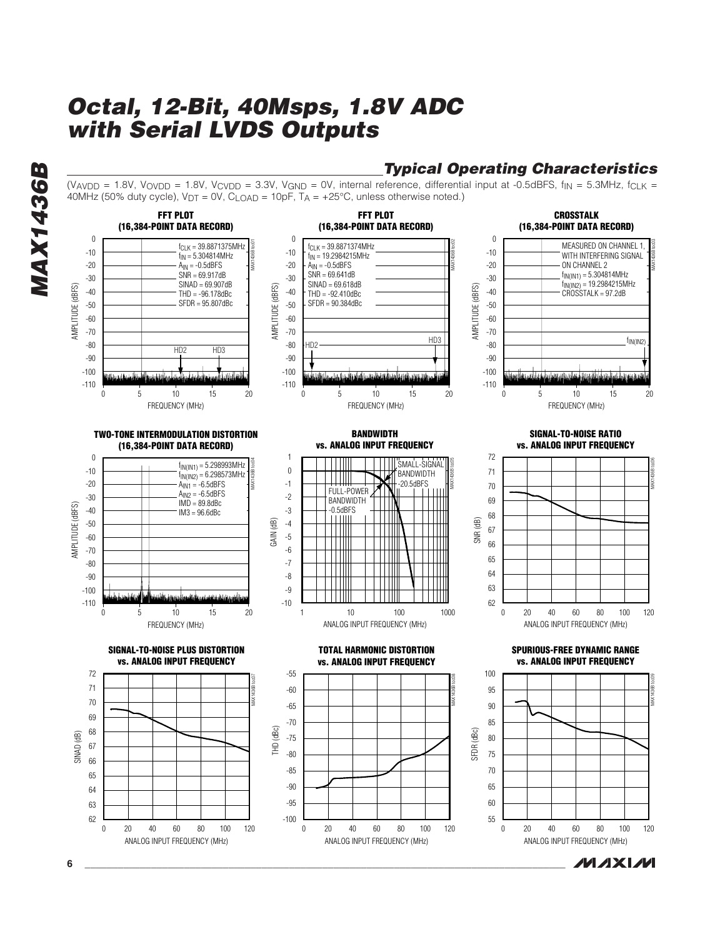# **Typical Operating Characteristics**

(VAVDD = 1.8V, VOVDD = 1.8V, VCVDD = 3.3V, VGND = 0V, internal reference, differential input at -0.5dBFS,  $f_{IN}$  = 5.3MHz,  $f_{CLK}$  = 40MHz (50% duty cycle),  $V_{DT} = 0V$ ,  $C_{LOAD} = 10pF$ ,  $T_A = +25^{\circ}C$ , unless otherwise noted.)

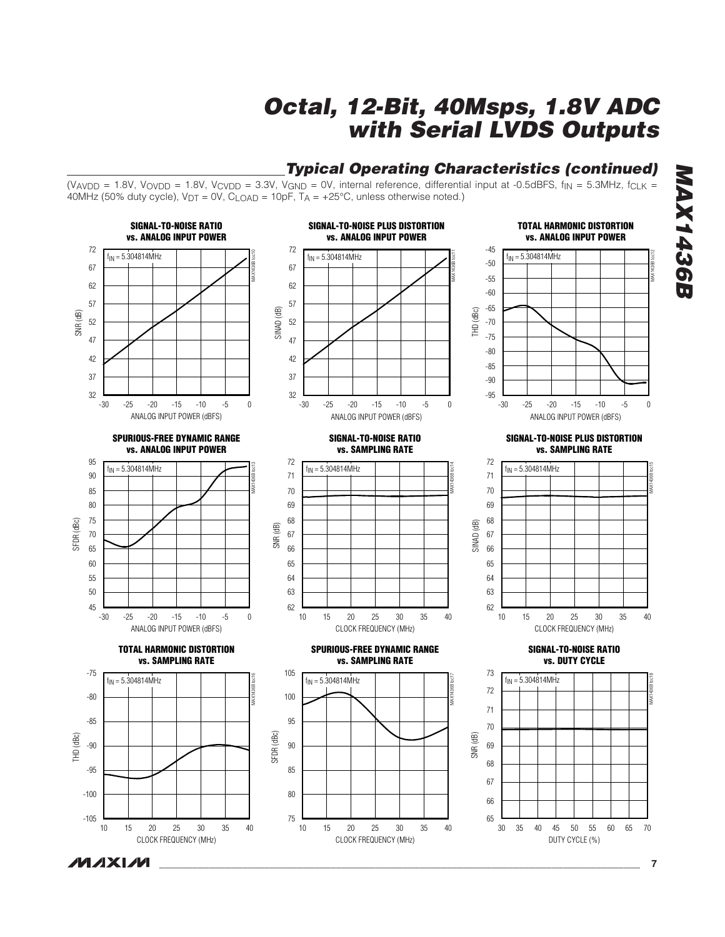# **Typical Operating Characteristics (continued)**

(VAVDD = 1.8V, VOVDD = 1.8V, VCVDD = 3.3V, VGND = 0V, internal reference, differential input at -0.5dBFS,  $f_{IN}$  = 5.3MHz,  $f_{CLK}$  = 40MHz (50% duty cycle),  $V_{DT} = 0V$ ,  $C_{LOAD} = 10pF$ ,  $T_A = +25°C$ , unless otherwise noted.)



**MAXM** 

**MAX1436B MAX143GB** 

**\_\_\_\_\_\_\_\_\_\_\_\_\_\_\_\_\_\_\_\_\_\_\_\_\_\_\_\_\_\_\_\_\_\_\_\_\_\_\_\_\_\_\_\_\_\_\_\_\_\_\_\_\_\_\_\_\_\_\_\_\_\_\_\_\_\_\_\_\_\_\_\_\_\_\_\_\_\_\_\_\_\_\_\_\_\_\_ 7**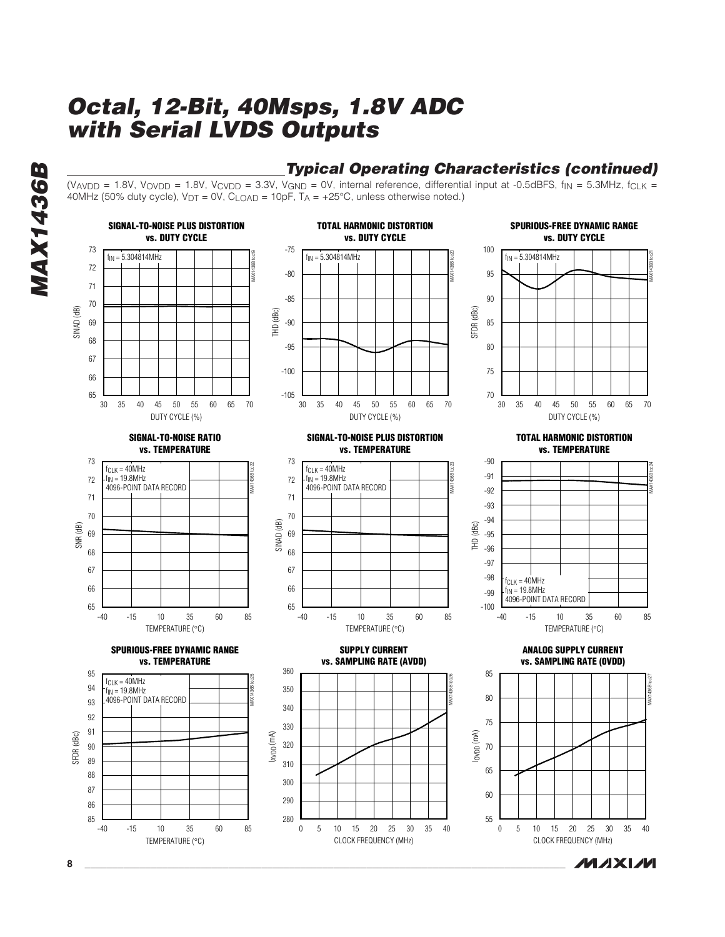# **Typical Operating Characteristics (continued)**

(VAVDD = 1.8V, VOVDD = 1.8V, VCVDD = 3.3V, VGND = 0V, internal reference, differential input at -0.5dBFS,  $f_{IN}$  = 5.3MHz,  $f_{CLK}$  = 40MHz (50% duty cycle),  $V_{DT} = 0V$ ,  $C_{LOAD} = 10pF$ ,  $T_A = +25^{\circ}C$ , unless otherwise noted.)



**8 \_\_\_\_\_\_\_\_\_\_\_\_\_\_\_\_\_\_\_\_\_\_\_\_\_\_\_\_\_\_\_\_\_\_\_\_\_\_\_\_\_\_\_\_\_\_\_\_\_\_\_\_\_\_\_\_\_\_\_\_\_\_\_\_\_\_\_\_\_\_\_\_\_\_\_\_\_\_\_\_\_\_\_\_\_\_\_**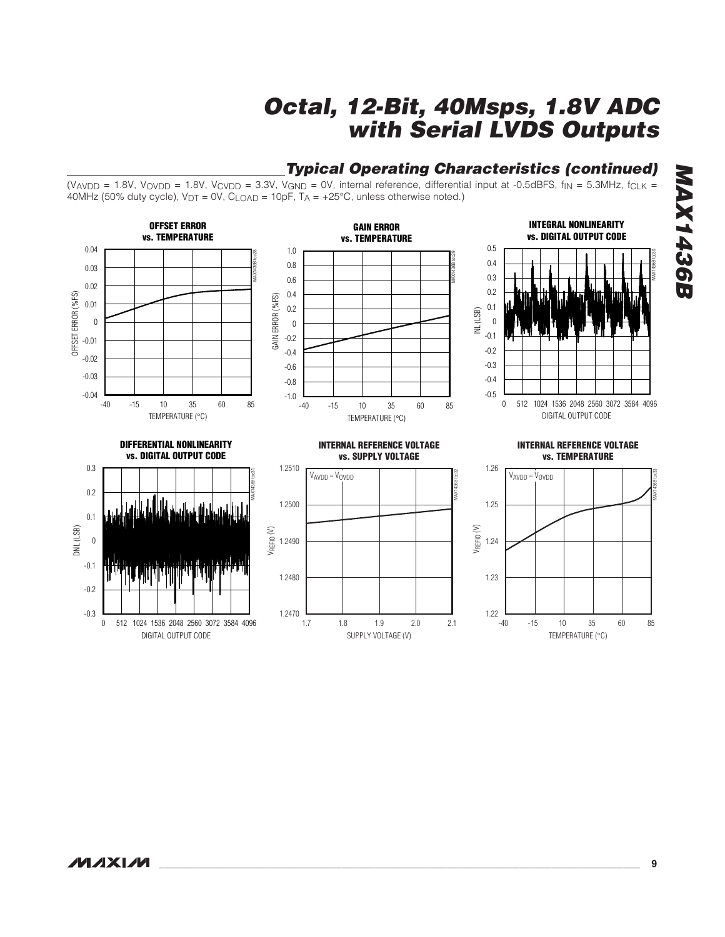#### (VAVDD = 1.8V, VOVDD = 1.8V, VCVDD = 3.3V, VGND = 0V, internal reference, differential input at -0.5dBFS,  $f_{IN}$  = 5.3MHz,  $f_{CLK}$  = 40MHz (50% duty cycle),  $V_{DT} = 0V$ ,  $C_{LOAD} = 10pF$ ,  $T_A = +25^{\circ}C$ , unless otherwise noted.) **OFFSET ERROR INTEGRAL NONLINEARITY GAIN ERROR vs. TEMPERATURE vs. DIGITAL OUTPUT CODE vs. TEMPERATURE** 0.04 0.5 1.0 MAX1436B toc30  $-40$   $-15$   $10$   $35$   $60$   $85$  $-40$   $-15$   $10$   $35$   $60$   $85$ 0.4 0.8 0.03 0.3 0.6 0.02 0.2 0.4 OFFSET ERROR (%FS) OFFSET ERROR (%FS) GAIN ERROR (%FS) GAIN ERROR (%FS) 0.01 0.1 0.2 INL (LSB) 0  $\boldsymbol{0}$ 0 -0.1 -0.2 -0.01 -0.2 -0.4 -0.02 -0.3 -0.6 -0.03  $-0.4$ -0.8 -0.04 -0.5 -1.0 -15 10 60 35 -15 10 60 35 0 512 1024 1536 2048 2560 3072 3584 4096 TEMPERATURE (°C) DIGITAL OUTPUT CODE TEMPERATURE (°C) **DIFFERENTIAL NONLINEARITY INTERNAL REFERENCE VOLTAGE INTERNAL REFERENCE VOLTAGE vs. DIGITAL OUTPUT CODE vs. SUPPLY VOLTAGE vs. TEMPERATURE** 0.3 1.2510 1.26 MAX1436B toc31  $V_{AVDD} = V_{OVDD}$ <br>  $V_{AVDD} = V_{OVDD}$ <br>  $V_{SUS}$ <br>  $V_{SUS}$ <br>  $V_{SUS}$ <br>  $V_{SUS}$ <br>  $V_{SUS}$ <br>  $V_{SUS}$ <br>  $V_{SUS}$ <br>  $V_{SUS}$ <br>  $V_{SUS}$ <br>  $V_{SUS}$ <br>  $V_{SUS}$ <br>  $V_{SUS}$ <br>  $V_{SUS}$ <br>  $V_{SUS}$ <br>  $V_{SUS}$ <br>  $V_{SUS}$ <br>  $V_{SUS}$ <br>  $V_{SUS}$ <br>  $V_{SUS}$ <br>  $V_{SUS}$ <br>  $V_{SUS}$ <br>  $V$ VAVDD = VOVDD  $V_{AVDD} = V_{OVDD}$ VAVDD = VOVDD0.2 1.2500 1.25 0.1 VREFIO (V) VREFIO (V) DNL (LSB) 1.2490 0 1.24 -0.1 1.2480 1.23 -0.2 -0.3 1.2470 1.22 **L**<br>-40

SUPPLY VOLTAGE (V)

1.8 1.9 2.0

### **Typical Operating Characteristics (continued)**

DIGITAL OUTPUT CODE

0 512 1024 1536 2048 2560 3072 3584 4096

TEMPERATURE (°C)

-15 10 35 60

**MAX1436B**

**MAX1436B**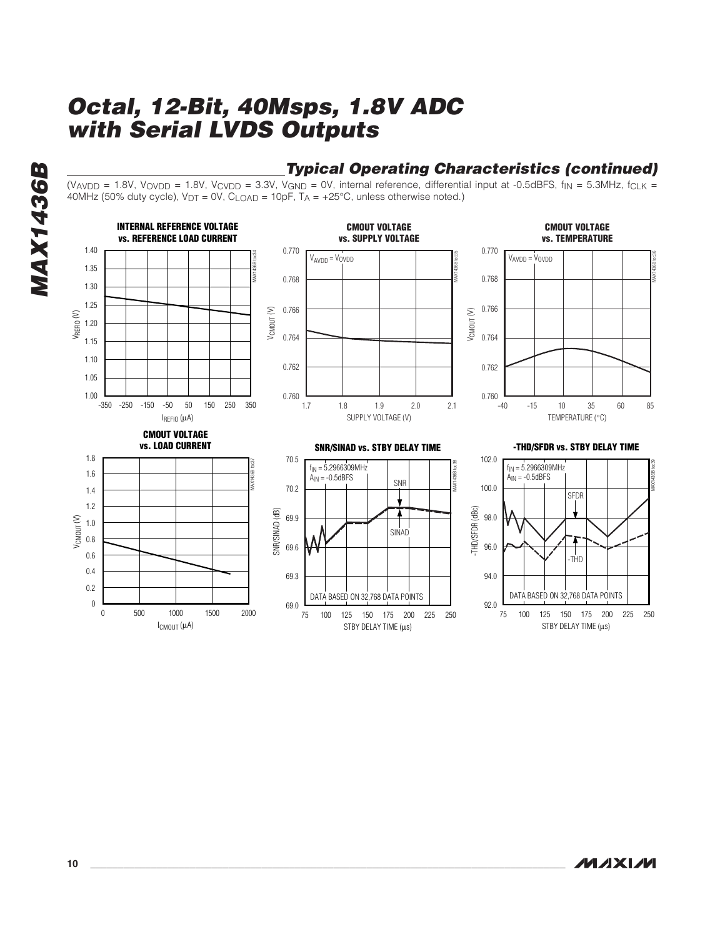# **Typical Operating Characteristics (continued)**

(VAVDD = 1.8V, VOVDD = 1.8V, VCVDD = 3.3V, VGND = 0V, internal reference, differential input at -0.5dBFS,  $f_{IN}$  = 5.3MHz,  $f_{CLK}$  = 40MHz (50% duty cycle),  $V_{DT} = 0V$ ,  $C_{LOAD} = 10pF$ ,  $T_A = +25°C$ , unless otherwise noted.)



**MAXM**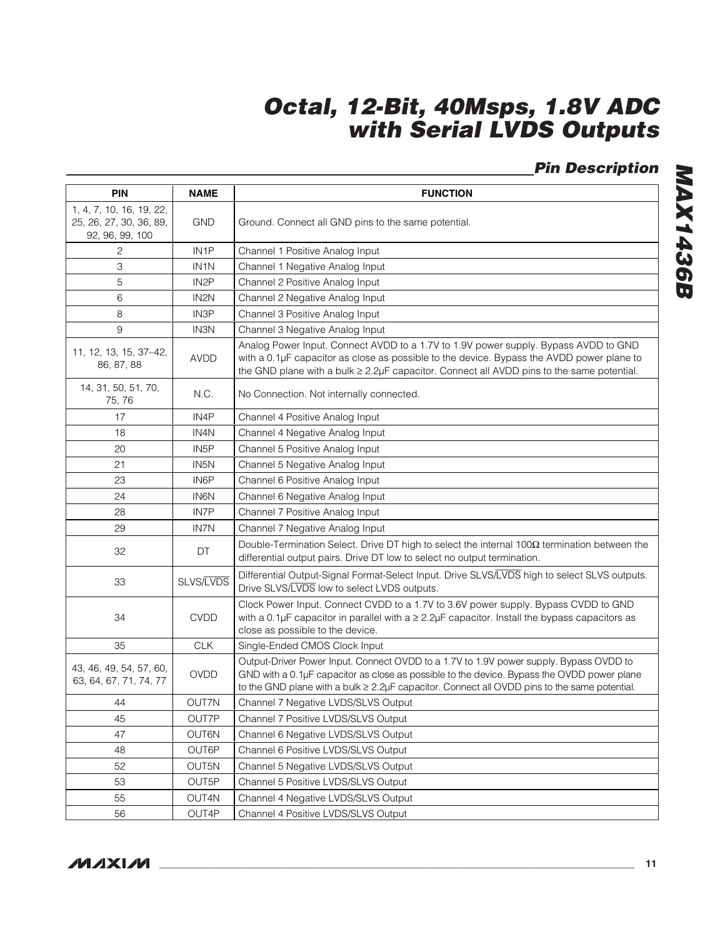# **Pin Description**

| <b>PIN</b>                                                             | <b>NAME</b>       | <b>FUNCTION</b>                                                                                                                                                                                                                                                                              |  |  |  |
|------------------------------------------------------------------------|-------------------|----------------------------------------------------------------------------------------------------------------------------------------------------------------------------------------------------------------------------------------------------------------------------------------------|--|--|--|
| 1, 4, 7, 10, 16, 19, 22,<br>25, 26, 27, 30, 36, 89,<br>92, 96, 99, 100 | <b>GND</b>        | Ground. Connect all GND pins to the same potential.                                                                                                                                                                                                                                          |  |  |  |
| 2                                                                      | IN <sub>1</sub> P | Channel 1 Positive Analog Input                                                                                                                                                                                                                                                              |  |  |  |
| 3                                                                      | IN <sub>1</sub> N | Channel 1 Negative Analog Input                                                                                                                                                                                                                                                              |  |  |  |
| 5                                                                      | IN <sub>2</sub> P | Channel 2 Positive Analog Input                                                                                                                                                                                                                                                              |  |  |  |
| 6                                                                      | IN <sub>2N</sub>  | Channel 2 Negative Analog Input                                                                                                                                                                                                                                                              |  |  |  |
| 8                                                                      | IN3P              | Channel 3 Positive Analog Input                                                                                                                                                                                                                                                              |  |  |  |
| 9                                                                      | <b>IN3N</b>       | Channel 3 Negative Analog Input                                                                                                                                                                                                                                                              |  |  |  |
| 11, 12, 13, 15, 37-42,<br>86, 87, 88                                   | <b>AVDD</b>       | Analog Power Input. Connect AVDD to a 1.7V to 1.9V power supply. Bypass AVDD to GND<br>with a 0.1µF capacitor as close as possible to the device. Bypass the AVDD power plane to<br>the GND plane with a bulk ≥ 2.2µF capacitor. Connect all AVDD pins to the same potential.                |  |  |  |
| 14, 31, 50, 51, 70,<br>75, 76                                          | N.C.              | No Connection. Not internally connected.                                                                                                                                                                                                                                                     |  |  |  |
| 17                                                                     | IN4P              | Channel 4 Positive Analog Input                                                                                                                                                                                                                                                              |  |  |  |
| 18                                                                     | IN4N              | Channel 4 Negative Analog Input                                                                                                                                                                                                                                                              |  |  |  |
| 20                                                                     | IN <sub>5</sub> P | Channel 5 Positive Analog Input                                                                                                                                                                                                                                                              |  |  |  |
| 21                                                                     | IN <sub>5</sub> N | Channel 5 Negative Analog Input                                                                                                                                                                                                                                                              |  |  |  |
| 23                                                                     | IN6P              | Channel 6 Positive Analog Input                                                                                                                                                                                                                                                              |  |  |  |
| 24                                                                     | <b>IN6N</b>       | Channel 6 Negative Analog Input                                                                                                                                                                                                                                                              |  |  |  |
| 28                                                                     | IN7P              | Channel 7 Positive Analog Input                                                                                                                                                                                                                                                              |  |  |  |
| 29                                                                     | <b>IN7N</b>       | Channel 7 Negative Analog Input                                                                                                                                                                                                                                                              |  |  |  |
| 32                                                                     | DT                | Double-Termination Select. Drive DT high to select the internal $100\Omega$ termination between the<br>differential output pairs. Drive DT low to select no output termination.                                                                                                              |  |  |  |
| 33                                                                     | <b>SLVS/LVDS</b>  | Differential Output-Signal Format-Select Input. Drive SLVS/LVDS high to select SLVS outputs.<br>Drive SLVS/LVDS low to select LVDS outputs.                                                                                                                                                  |  |  |  |
| 34                                                                     | <b>CVDD</b>       | Clock Power Input. Connect CVDD to a 1.7V to 3.6V power supply. Bypass CVDD to GND<br>with a 0.1µF capacitor in parallel with $a \ge 2.2\mu$ F capacitor. Install the bypass capacitors as<br>close as possible to the device.                                                               |  |  |  |
| 35                                                                     | <b>CLK</b>        | Single-Ended CMOS Clock Input                                                                                                                                                                                                                                                                |  |  |  |
| 43, 46, 49, 54, 57, 60,<br>63, 64, 67, 71, 74, 77                      | <b>OVDD</b>       | Output-Driver Power Input. Connect OVDD to a 1.7V to 1.9V power supply. Bypass OVDD to<br>GND with a 0.1µF capacitor as close as possible to the device. Bypass the OVDD power plane<br>to the GND plane with a bulk $\geq 2.2\mu$ F capacitor. Connect all OVDD pins to the same potential. |  |  |  |
| 44                                                                     | OUT7N             | Channel 7 Negative LVDS/SLVS Output                                                                                                                                                                                                                                                          |  |  |  |
| 45                                                                     | OUT7P             | Channel 7 Positive LVDS/SLVS Output                                                                                                                                                                                                                                                          |  |  |  |
| 47                                                                     | OUT6N             | Channel 6 Negative LVDS/SLVS Output                                                                                                                                                                                                                                                          |  |  |  |
| 48                                                                     | OUT6P             | Channel 6 Positive LVDS/SLVS Output                                                                                                                                                                                                                                                          |  |  |  |
| 52                                                                     | OUT5N             | Channel 5 Negative LVDS/SLVS Output                                                                                                                                                                                                                                                          |  |  |  |
| 53                                                                     | OUT5P             | Channel 5 Positive LVDS/SLVS Output                                                                                                                                                                                                                                                          |  |  |  |
| 55                                                                     | OUT4N             | Channel 4 Negative LVDS/SLVS Output                                                                                                                                                                                                                                                          |  |  |  |
| 56                                                                     | OUT4P             | Channel 4 Positive LVDS/SLVS Output                                                                                                                                                                                                                                                          |  |  |  |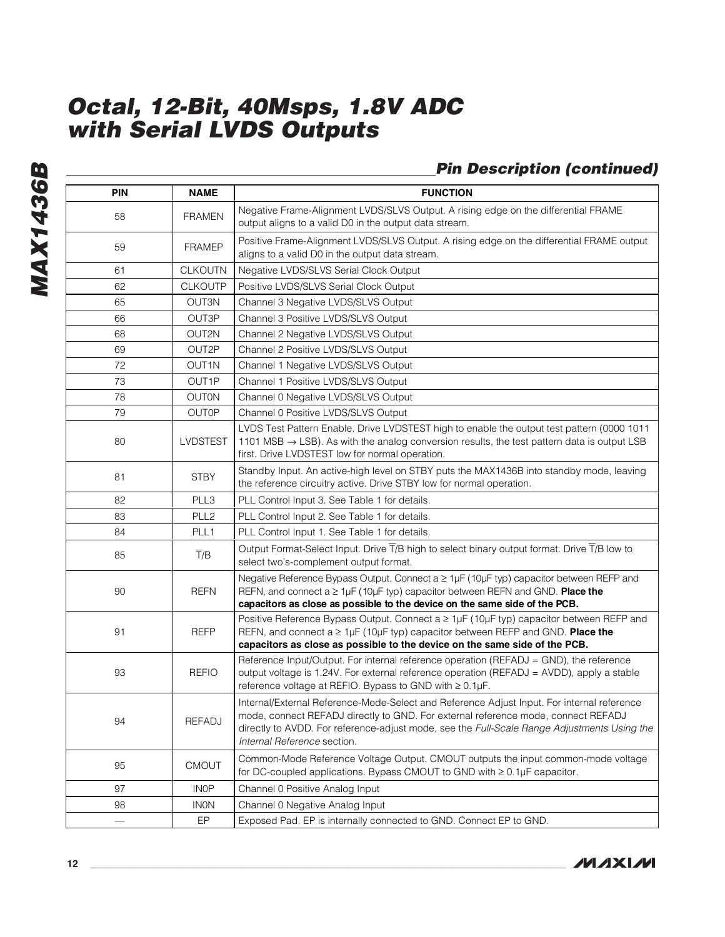# **Pin Description (continued)**

| PIN               | <b>NAME</b>                                                              | <b>FUNCTION</b>                                                                                                                                                                                                                                                                                               |  |  |
|-------------------|--------------------------------------------------------------------------|---------------------------------------------------------------------------------------------------------------------------------------------------------------------------------------------------------------------------------------------------------------------------------------------------------------|--|--|
| 58                | <b>FRAMEN</b>                                                            | Negative Frame-Alignment LVDS/SLVS Output. A rising edge on the differential FRAME<br>output aligns to a valid D0 in the output data stream.                                                                                                                                                                  |  |  |
| 59                | <b>FRAMEP</b>                                                            | Positive Frame-Alignment LVDS/SLVS Output. A rising edge on the differential FRAME output<br>aligns to a valid D0 in the output data stream.                                                                                                                                                                  |  |  |
| 61                | <b>CLKOUTN</b>                                                           | Negative LVDS/SLVS Serial Clock Output                                                                                                                                                                                                                                                                        |  |  |
| 62                | <b>CLKOUTP</b>                                                           | Positive LVDS/SLVS Serial Clock Output                                                                                                                                                                                                                                                                        |  |  |
| 65                | OUT3N                                                                    | Channel 3 Negative LVDS/SLVS Output                                                                                                                                                                                                                                                                           |  |  |
| 66                | OUT3P                                                                    | Channel 3 Positive LVDS/SLVS Output                                                                                                                                                                                                                                                                           |  |  |
| 68                | OUT2N                                                                    | Channel 2 Negative LVDS/SLVS Output                                                                                                                                                                                                                                                                           |  |  |
| 69                | OUT2P                                                                    | Channel 2 Positive LVDS/SLVS Output                                                                                                                                                                                                                                                                           |  |  |
| 72                | OUT1N                                                                    | Channel 1 Negative LVDS/SLVS Output                                                                                                                                                                                                                                                                           |  |  |
| 73                | OUT1P                                                                    | Channel 1 Positive LVDS/SLVS Output                                                                                                                                                                                                                                                                           |  |  |
| 78                | <b>OUTON</b>                                                             | Channel 0 Negative LVDS/SLVS Output                                                                                                                                                                                                                                                                           |  |  |
| 79                | <b>OUTOP</b>                                                             | Channel 0 Positive LVDS/SLVS Output                                                                                                                                                                                                                                                                           |  |  |
| 80                | <b>LVDSTEST</b>                                                          | LVDS Test Pattern Enable. Drive LVDSTEST high to enable the output test pattern (0000 1011<br>1101 MSB $\rightarrow$ LSB). As with the analog conversion results, the test pattern data is output LSB<br>first. Drive LVDSTEST low for normal operation.                                                      |  |  |
| 81<br><b>STBY</b> |                                                                          | Standby Input. An active-high level on STBY puts the MAX1436B into standby mode, leaving<br>the reference circuitry active. Drive STBY low for normal operation.                                                                                                                                              |  |  |
| 82                | PLL3                                                                     | PLL Control Input 3. See Table 1 for details.                                                                                                                                                                                                                                                                 |  |  |
| 83                | PLL <sub>2</sub>                                                         | PLL Control Input 2. See Table 1 for details.                                                                                                                                                                                                                                                                 |  |  |
| 84                | PLL1                                                                     | PLL Control Input 1. See Table 1 for details.                                                                                                                                                                                                                                                                 |  |  |
| 85                | $\overline{T}/B$                                                         | Output Format-Select Input. Drive $\overline{T}/B$ high to select binary output format. Drive $\overline{T}/B$ low to<br>select two's-complement output format.                                                                                                                                               |  |  |
| 90                | <b>REFN</b>                                                              | Negative Reference Bypass Output. Connect a ≥ 1µF (10µF typ) capacitor between REFP and<br>REFN, and connect $a \geq 1$ µF (10µF typ) capacitor between REFN and GND. Place the<br>capacitors as close as possible to the device on the same side of the PCB.                                                 |  |  |
| 91                | <b>REFP</b>                                                              | Positive Reference Bypass Output. Connect $a \geq 1\mu F$ (10 $\mu F$ typ) capacitor between REFP and<br>REFN, and connect $a \geq 1\mu$ F (10 $\mu$ F typ) capacitor between REFP and GND. <b>Place the</b><br>capacitors as close as possible to the device on the same side of the PCB.                    |  |  |
| 93                | <b>REFIO</b>                                                             | Reference Input/Output. For internal reference operation (REFADJ = GND), the reference<br>output voltage is 1.24V. For external reference operation (REFADJ = AVDD), apply a stable<br>reference voltage at REFIO. Bypass to GND with ≥ 0.1µF.                                                                |  |  |
| 94                | <b>REFADJ</b>                                                            | Internal/External Reference-Mode-Select and Reference Adjust Input. For internal reference<br>mode, connect REFADJ directly to GND. For external reference mode, connect REFADJ<br>directly to AVDD. For reference-adjust mode, see the Full-Scale Range Adjustments Using the<br>Internal Reference section. |  |  |
| 95                | <b>CMOUT</b>                                                             | Common-Mode Reference Voltage Output. CMOUT outputs the input common-mode voltage<br>for DC-coupled applications. Bypass CMOUT to GND with $\geq 0.1 \mu F$ capacitor.                                                                                                                                        |  |  |
| 97                | <b>INOP</b>                                                              | Channel 0 Positive Analog Input                                                                                                                                                                                                                                                                               |  |  |
| 98                | <b>INON</b>                                                              | Channel 0 Negative Analog Input                                                                                                                                                                                                                                                                               |  |  |
|                   | EP<br>Exposed Pad. EP is internally connected to GND. Connect EP to GND. |                                                                                                                                                                                                                                                                                                               |  |  |

**MAXIM**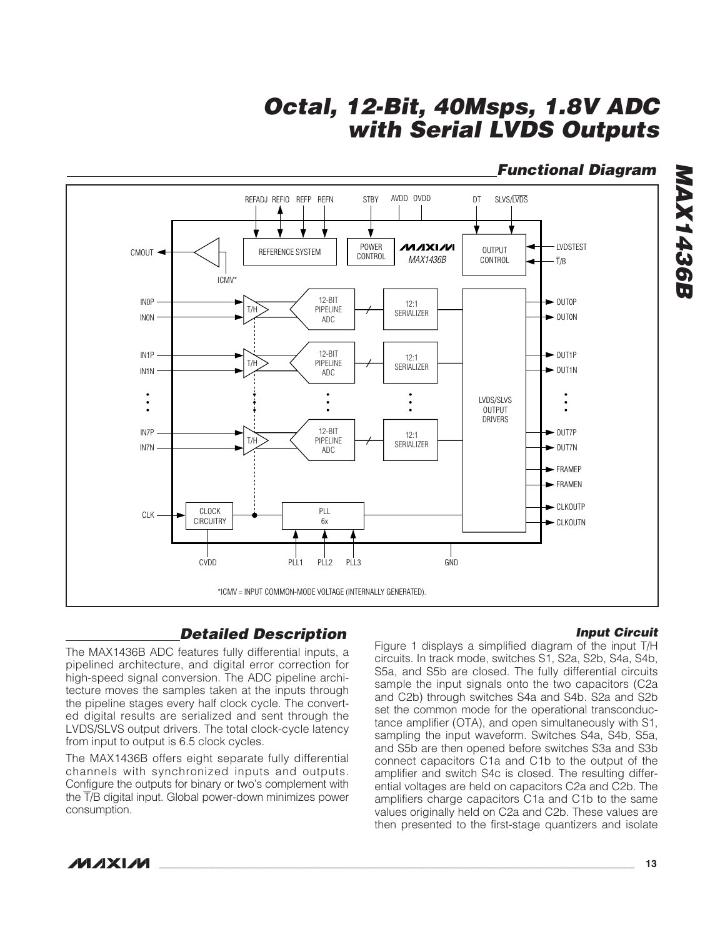# **Functional Diagram**

**MAX1436B**

**MAX1436B** 



# **Detailed Description**

### **Input Circuit**

The MAX1436B ADC features fully differential inputs, a pipelined architecture, and digital error correction for high-speed signal conversion. The ADC pipeline architecture moves the samples taken at the inputs through the pipeline stages every half clock cycle. The converted digital results are serialized and sent through the LVDS/SLVS output drivers. The total clock-cycle latency from input to output is 6.5 clock cycles.

The MAX1436B offers eight separate fully differential channels with synchronized inputs and outputs. Configure the outputs for binary or two's complement with the T/B digital input. Global power-down minimizes power consumption.

Figure 1 displays a simplified diagram of the input T/H circuits. In track mode, switches S1, S2a, S2b, S4a, S4b, S5a, and S5b are closed. The fully differential circuits sample the input signals onto the two capacitors (C2a and C2b) through switches S4a and S4b. S2a and S2b set the common mode for the operational transconductance amplifier (OTA), and open simultaneously with S1, sampling the input waveform. Switches S4a, S4b, S5a, and S5b are then opened before switches S3a and S3b connect capacitors C1a and C1b to the output of the amplifier and switch S4c is closed. The resulting differential voltages are held on capacitors C2a and C2b. The amplifiers charge capacitors C1a and C1b to the same values originally held on C2a and C2b. These values are then presented to the first-stage quantizers and isolate

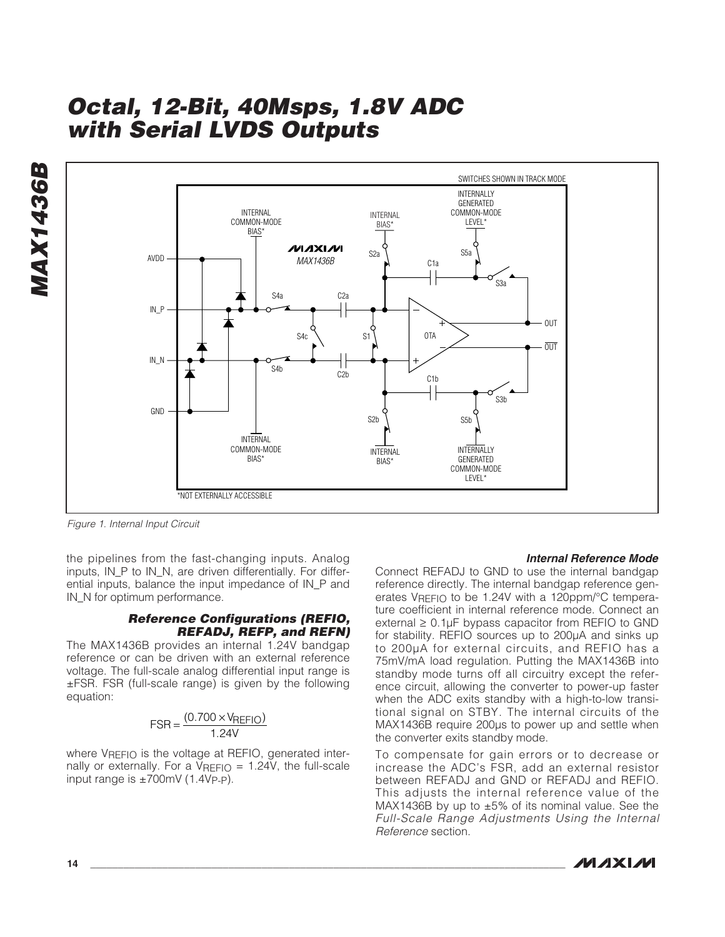**MAX1436B MAX1436B** 



Figure 1. Internal Input Circuit

the pipelines from the fast-changing inputs. Analog inputs, IN\_P to IN\_N, are driven differentially. For differential inputs, balance the input impedance of IN\_P and IN N for optimum performance.

#### **Reference Configurations (REFIO, REFADJ, REFP, and REFN)**

The MAX1436B provides an internal 1.24V bandgap reference or can be driven with an external reference voltage. The full-scale analog differential input range is ±FSR. FSR (full-scale range) is given by the following equation:

$$
FSR = \frac{(0.700 \times V_{REFIO})}{1.24V}
$$

where VREFIO is the voltage at REFIO, generated internally or externally. For a  $V_{REFIO} = 1.24V$ , the full-scale input range is  $\pm 700$ mV (1.4Vp-p).

#### **Internal Reference Mode**

Connect REFADJ to GND to use the internal bandgap reference directly. The internal bandgap reference generates VREFIO to be 1.24V with a 120ppm/°C temperature coefficient in internal reference mode. Connect an external  $\geq 0.1$ µF bypass capacitor from REFIO to GND for stability. REFIO sources up to 200µA and sinks up to 200µA for external circuits, and REFIO has a 75mV/mA load regulation. Putting the MAX1436B into standby mode turns off all circuitry except the reference circuit, allowing the converter to power-up faster when the ADC exits standby with a high-to-low transitional signal on STBY. The internal circuits of the MAX1436B require 200µs to power up and settle when the converter exits standby mode.

To compensate for gain errors or to decrease or increase the ADC's FSR, add an external resistor between REFADJ and GND or REFADJ and REFIO. This adjusts the internal reference value of the MAX1436B by up to  $\pm 5\%$  of its nominal value. See the Full-Scale Range Adjustments Using the Internal Reference section.

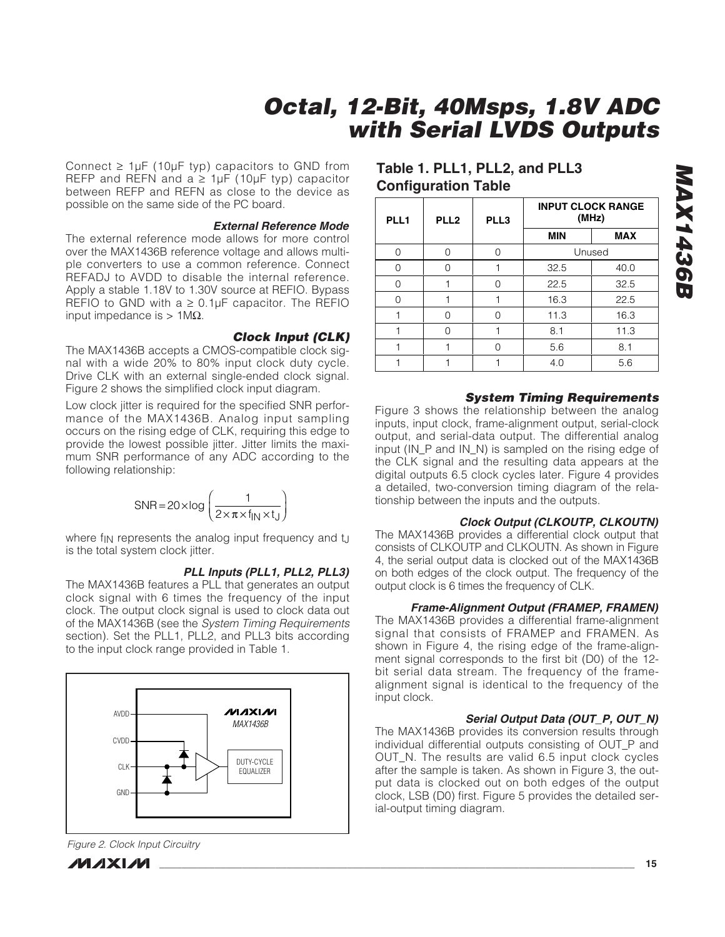Connect  $\geq 1 \mu$ F (10 $\mu$ F typ) capacitors to GND from REFP and REFN and  $a \geq 1 \mu F$  (10 $\mu F$  typ) capacitor between REFP and REFN as close to the device as possible on the same side of the PC board.

#### **External Reference Mode**

The external reference mode allows for more control over the MAX1436B reference voltage and allows multiple converters to use a common reference. Connect REFADJ to AVDD to disable the internal reference. Apply a stable 1.18V to 1.30V source at REFIO. Bypass REFIO to GND with  $a \ge 0.1 \mu$ F capacitor. The REFIO input impedance is  $> 1$ MΩ.

#### **Clock Input (CLK)**

The MAX1436B accepts a CMOS-compatible clock signal with a wide 20% to 80% input clock duty cycle. Drive CLK with an external single-ended clock signal. Figure 2 shows the simplified clock input diagram.

Low clock jitter is required for the specified SNR performance of the MAX1436B. Analog input sampling occurs on the rising edge of CLK, requiring this edge to provide the lowest possible jitter. Jitter limits the maximum SNR performance of any ADC according to the following relationship:

$$
SNR = 20 \times \log \left( \frac{1}{2 \times \pi \times f_{\text{IN}} \times t_{\text{J}}} \right)
$$

where fin represents the analog input frequency and t<sub>il</sub> is the total system clock jitter.

### **PLL Inputs (PLL1, PLL2, PLL3)**

The MAX1436B features a PLL that generates an output clock signal with 6 times the frequency of the input clock. The output clock signal is used to clock data out of the MAX1436B (see the System Timing Requirements section). Set the PLL1, PLL2, and PLL3 bits according to the input clock range provided in Table 1.



Figure 2. Clock Input Circuitry



# **Table 1. PLL1, PLL2, and PLL3 Configuration Table**

| PLL1 | PLL <sub>2</sub> | PLL3 |            | <b>INPUT CLOCK RANGE</b><br>(MHz) |  |  |
|------|------------------|------|------------|-----------------------------------|--|--|
|      |                  |      | <b>MIN</b> | <b>MAX</b>                        |  |  |
| ∩    | ∩                | ∩    |            | Unused                            |  |  |
|      | ∩                |      | 32.5       | 40.0                              |  |  |
|      |                  |      | 22.5       | 32.5                              |  |  |
|      |                  |      | 16.3       | 22.5                              |  |  |
|      | Λ                |      | 11.3       | 16.3                              |  |  |
|      | ∩                |      | 8.1        | 11.3                              |  |  |
|      |                  |      | 5.6        | 8.1                               |  |  |
|      |                  |      | 4.0        | 5.6                               |  |  |

### **System Timing Requirements**

Figure 3 shows the relationship between the analog inputs, input clock, frame-alignment output, serial-clock output, and serial-data output. The differential analog input (IN\_P and IN\_N) is sampled on the rising edge of the CLK signal and the resulting data appears at the digital outputs 6.5 clock cycles later. Figure 4 provides a detailed, two-conversion timing diagram of the relationship between the inputs and the outputs.

#### **Clock Output (CLKOUTP, CLKOUTN)**

The MAX1436B provides a differential clock output that consists of CLKOUTP and CLKOUTN. As shown in Figure 4, the serial output data is clocked out of the MAX1436B on both edges of the clock output. The frequency of the output clock is 6 times the frequency of CLK.

#### **Frame-Alignment Output (FRAMEP, FRAMEN)**

The MAX1436B provides a differential frame-alignment signal that consists of FRAMEP and FRAMEN. As shown in Figure 4, the rising edge of the frame-alignment signal corresponds to the first bit (D0) of the 12 bit serial data stream. The frequency of the framealignment signal is identical to the frequency of the input clock.

### **Serial Output Data (OUT\_P, OUT\_N)**

The MAX1436B provides its conversion results through individual differential outputs consisting of OUT\_P and OUT\_N. The results are valid 6.5 input clock cycles after the sample is taken. As shown in Figure 3, the output data is clocked out on both edges of the output clock, LSB (D0) first. Figure 5 provides the detailed serial-output timing diagram.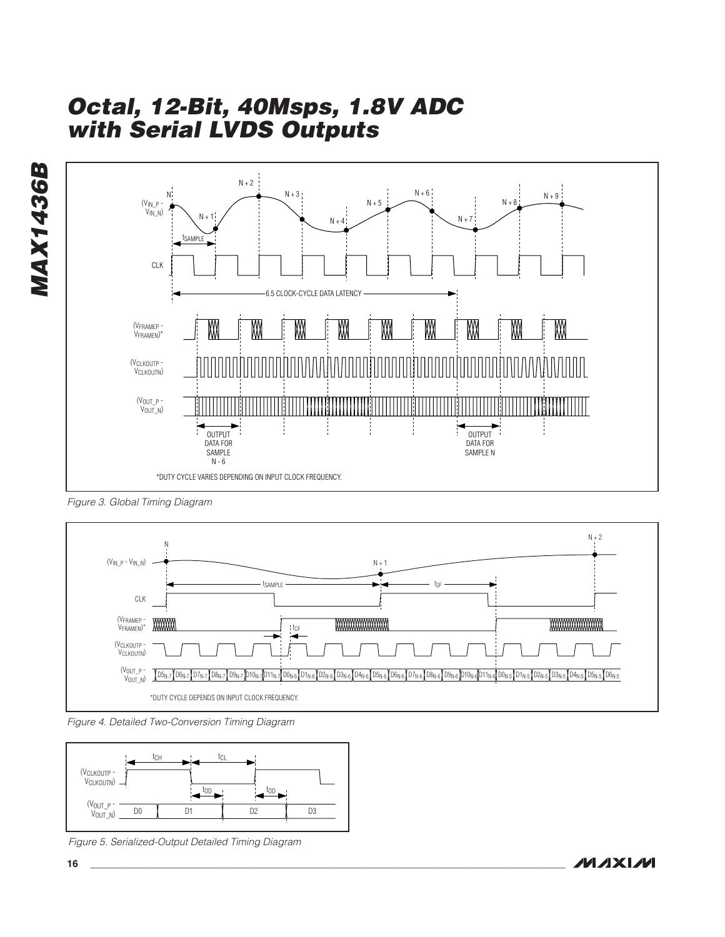

Figure 3. Global Timing Diagram



Figure 4. Detailed Two-Conversion Timing Diagram



Figure 5. Serialized-Output Detailed Timing Diagram

**MAXM**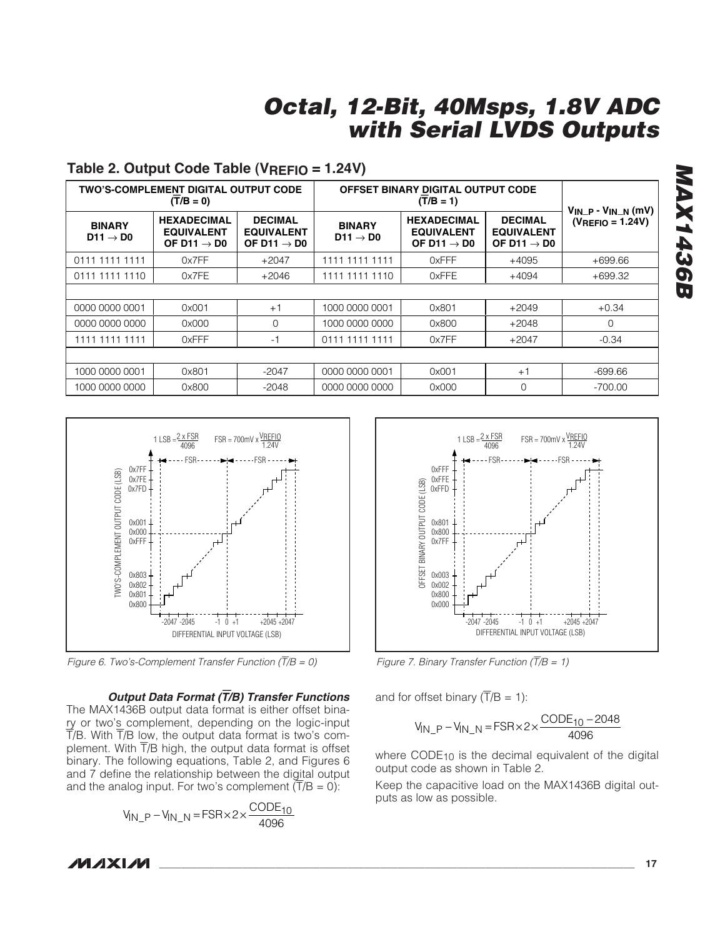|                                       | <b>TWO'S-COMPLEMENT DIGITAL OUTPUT CODE</b><br>$(T/B = 0)$         |                                                                | OFFSET BINARY DIGITAL OUTPUT CODE     | $V_{IN-P} - V_{IN-N}$ (mV)                                         |                                                                |                       |
|---------------------------------------|--------------------------------------------------------------------|----------------------------------------------------------------|---------------------------------------|--------------------------------------------------------------------|----------------------------------------------------------------|-----------------------|
| <b>BINARY</b><br>D11 $\rightarrow$ D0 | <b>HEXADECIMAL</b><br><b>EQUIVALENT</b><br>OF D11 $\rightarrow$ D0 | <b>DECIMAL</b><br><b>EQUIVALENT</b><br>OF D11 $\rightarrow$ D0 | <b>BINARY</b><br>$D11 \rightarrow D0$ | <b>HEXADECIMAL</b><br><b>EQUIVALENT</b><br>OF D11 $\rightarrow$ D0 | <b>DECIMAL</b><br><b>EQUIVALENT</b><br>OF D11 $\rightarrow$ D0 | $(V_{REFIO} = 1.24V)$ |
| 0111 1111 1111                        | 0x7FF                                                              | $+2047$                                                        | 1111 1111 1111                        | 0xFFF                                                              | $+4095$                                                        | $+699.66$             |
| 0111 1111 1110                        | 0x7FE                                                              | $+2046$                                                        | 1111 1111 1110                        | <b>OxFFE</b>                                                       | $+4094$                                                        | $+699.32$             |
|                                       |                                                                    |                                                                |                                       |                                                                    |                                                                |                       |
| 0000 0000 0001                        | 0x001                                                              | $+1$                                                           | 1000 0000 0001                        | 0x801                                                              | +2049                                                          | $+0.34$               |
| 0000 0000 0000                        | 0x000                                                              | $\Omega$                                                       | 1000 0000 0000                        | 0x800                                                              | $+2048$                                                        | $\Omega$              |
| 1111 1111 1111                        | 0xFFF                                                              | -1                                                             | 0111 1111 1111                        | 0x7FF                                                              | $+2047$                                                        | $-0.34$               |
|                                       |                                                                    |                                                                |                                       |                                                                    |                                                                |                       |
| 1000 0000 0001                        | 0x801                                                              | $-2047$                                                        | 0000 0000 0001                        | 0x001                                                              | $+1$                                                           | $-699.66$             |
| 1000 0000 0000                        | 0x800                                                              | $-2048$                                                        | 0000 0000 0000                        | 0x000                                                              | $\Omega$                                                       | $-700.00$             |

### **Table 2. Output Code Table (VREFIO = 1.24V)**



Figure 6. Two's-Complement Transfer Function  $(T/B = 0)$ 

#### **Output Data Format (**T**/B) Transfer Functions**

The MAX1436B output data format is either offset binary or two's complement, depending on the logic-input  $\overline{T}/B$ . With  $\overline{T}/B$  low, the output data format is two's complement. With T/B high, the output data format is offset binary. The following equations, Table 2, and Figures 6 and 7 define the relationship between the digital output and the analog input. For two's complement  $(T/B = 0)$ :

$$
V_{IN\_P} - V_{IN\_N} = FSR \times 2 \times \frac{CODE_{10}}{4096}
$$



Figure 7. Binary Transfer Function  $(T/B = 1)$ 

and for offset binary  $(T/B = 1)$ :

$$
V_{IN\_P} - V_{IN\_N} = FSR \times 2 \times \frac{CODE_{10} - 2048}{4096}
$$

where CODE<sub>10</sub> is the decimal equivalent of the digital output code as shown in Table 2.

Keep the capacitive load on the MAX1436B digital outputs as low as possible.

# **MAX1436B MAX1436B**

**MAXM**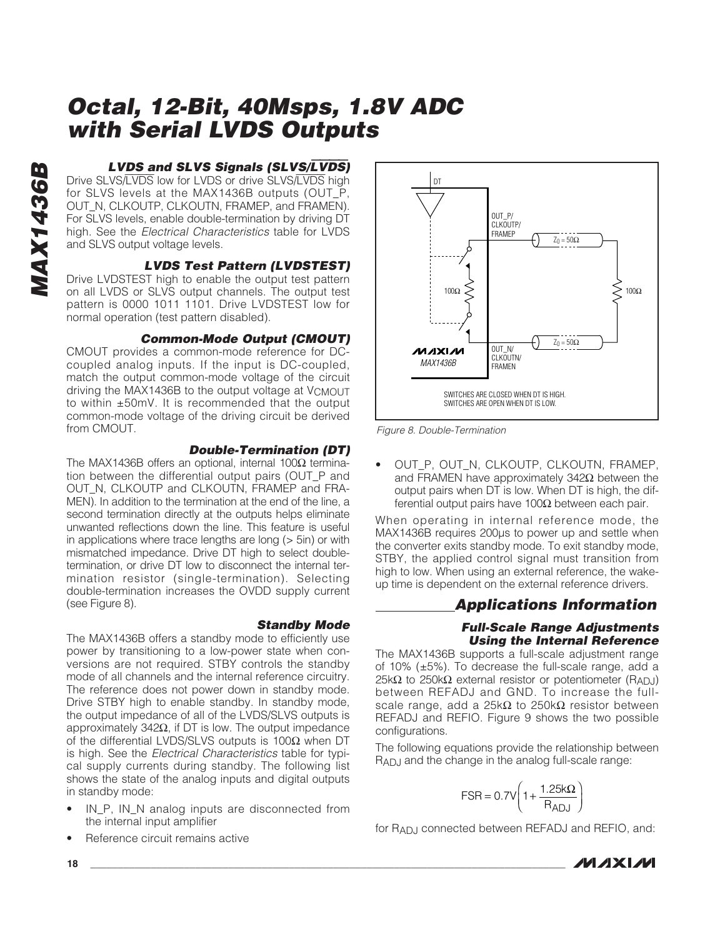### **LVDS and SLVS Signals (SLVS/**LVDS**)**

Drive SLVS/LVDS low for LVDS or drive SLVS/LVDS high for SLVS levels at the MAX1436B outputs (OUT\_P, OUT\_N, CLKOUTP, CLKOUTN, FRAMEP, and FRAMEN). For SLVS levels, enable double-termination by driving DT high. See the Electrical Characteristics table for LVDS and SLVS output voltage levels.

### **LVDS Test Pattern (LVDSTEST)**

Drive LVDSTEST high to enable the output test pattern on all LVDS or SLVS output channels. The output test pattern is 0000 1011 1101. Drive LVDSTEST low for normal operation (test pattern disabled).

#### **Common-Mode Output (CMOUT)**

CMOUT provides a common-mode reference for DCcoupled analog inputs. If the input is DC-coupled, match the output common-mode voltage of the circuit driving the MAX1436B to the output voltage at VCMOUT to within ±50mV. It is recommended that the output common-mode voltage of the driving circuit be derived from CMOUT.

#### **Double-Termination (DT)**

The MAX1436B offers an optional, internal 100Ω termination between the differential output pairs (OUT\_P and OUT\_N, CLKOUTP and CLKOUTN, FRAMEP and FRA-MEN). In addition to the termination at the end of the line, a second termination directly at the outputs helps eliminate unwanted reflections down the line. This feature is useful in applications where trace lengths are long (> 5in) or with mismatched impedance. Drive DT high to select doubletermination, or drive DT low to disconnect the internal termination resistor (single-termination). Selecting double-termination increases the OVDD supply current (see Figure 8).

#### **Standby Mode**

The MAX1436B offers a standby mode to efficiently use power by transitioning to a low-power state when conversions are not required. STBY controls the standby mode of all channels and the internal reference circuitry. The reference does not power down in standby mode. Drive STBY high to enable standby. In standby mode, the output impedance of all of the LVDS/SLVS outputs is approximately 342Ω, if DT is low. The output impedance of the differential LVDS/SLVS outputs is 100Ω when DT is high. See the Electrical Characteristics table for typical supply currents during standby. The following list shows the state of the analog inputs and digital outputs in standby mode:

- IN P. IN N analog inputs are disconnected from the internal input amplifier
- Reference circuit remains active



Figure 8. Double-Termination

OUT P, OUT N, CLKOUTP, CLKOUTN, FRAMEP, and FRAMEN have approximately 342Ω between the output pairs when DT is low. When DT is high, the differential output pairs have 100Ω between each pair.

When operating in internal reference mode, the MAX1436B requires 200µs to power up and settle when the converter exits standby mode. To exit standby mode, STBY, the applied control signal must transition from high to low. When using an external reference, the wakeup time is dependent on the external reference drivers.

### **Applications Information**

### **Full-Scale Range Adjustments Using the Internal Reference**

The MAX1436B supports a full-scale adjustment range of 10% (±5%). To decrease the full-scale range, add a 25kΩ to 250kΩ external resistor or potentiometer (R<sub>ADJ</sub>) between REFADJ and GND. To increase the fullscale range, add a 25kΩ to 250kΩ resistor between REFADJ and REFIO. Figure 9 shows the two possible configurations.

The following equations provide the relationship between RADJ and the change in the analog full-scale range:

$$
FSR = 0.7V \left(1 + \frac{1.25k\Omega}{R_{ADJ}}\right)
$$

for R<sub>AD</sub>, connected between REFADJ and REFIO, and:



**MAX1436B**

**MAX1436B**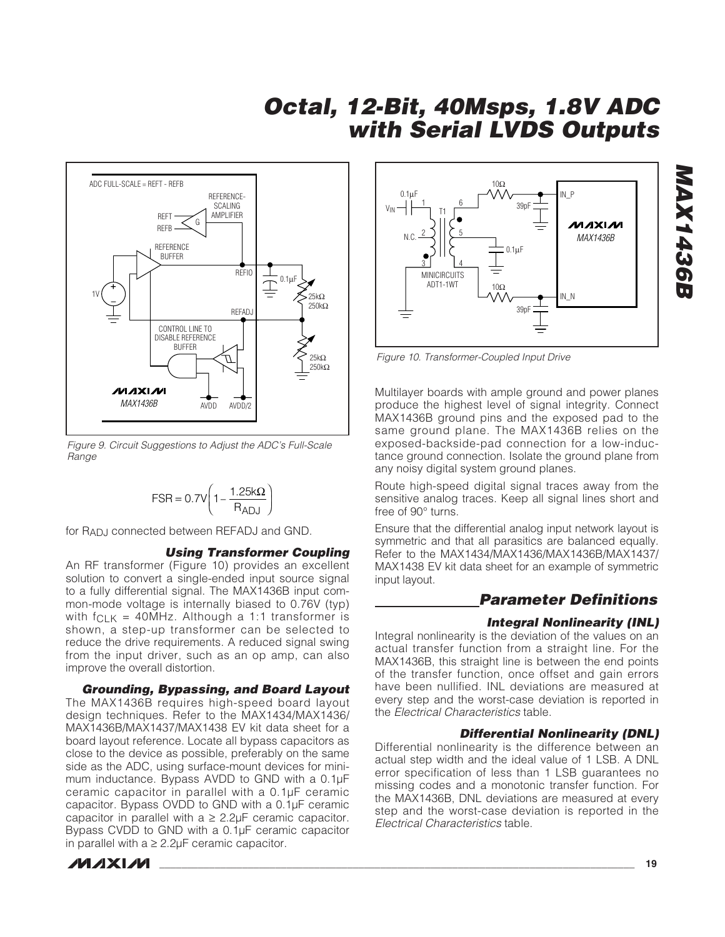

Figure 9. Circuit Suggestions to Adjust the ADC's Full-Scale Range

$$
FSR = 0.7V \left(1 - \frac{1.25k\Omega}{R_{ADJ}}\right)
$$

for RADJ connected between REFADJ and GND.

#### **Using Transformer Coupling**

An RF transformer (Figure 10) provides an excellent solution to convert a single-ended input source signal to a fully differential signal. The MAX1436B input common-mode voltage is internally biased to 0.76V (typ) with  $f_{CLK}$  = 40MHz. Although a 1:1 transformer is shown, a step-up transformer can be selected to reduce the drive requirements. A reduced signal swing from the input driver, such as an op amp, can also improve the overall distortion.

**Grounding, Bypassing, and Board Layout** The MAX1436B requires high-speed board layout design techniques. Refer to the MAX1434/MAX1436/ MAX1436B/MAX1437/MAX1438 EV kit data sheet for a board layout reference. Locate all bypass capacitors as close to the device as possible, preferably on the same side as the ADC, using surface-mount devices for minimum inductance. Bypass AVDD to GND with a 0.1µF ceramic capacitor in parallel with a 0.1µF ceramic capacitor. Bypass OVDD to GND with a 0.1µF ceramic capacitor in parallel with  $a \geq 2.2 \mu F$  ceramic capacitor. Bypass CVDD to GND with a 0.1µF ceramic capacitor in parallel with  $a \geq 2.2 \mu F$  ceramic capacitor.





Figure 10. Transformer-Coupled Input Drive

Multilayer boards with ample ground and power planes produce the highest level of signal integrity. Connect MAX1436B ground pins and the exposed pad to the same ground plane. The MAX1436B relies on the exposed-backside-pad connection for a low-inductance ground connection. Isolate the ground plane from any noisy digital system ground planes.

Route high-speed digital signal traces away from the sensitive analog traces. Keep all signal lines short and free of 90° turns.

Ensure that the differential analog input network layout is symmetric and that all parasitics are balanced equally. Refer to the MAX1434/MAX1436/MAX1436B/MAX1437/ MAX1438 EV kit data sheet for an example of symmetric input layout.

# **Parameter Definitions**

### **Integral Nonlinearity (INL)**

Integral nonlinearity is the deviation of the values on an actual transfer function from a straight line. For the MAX1436B, this straight line is between the end points of the transfer function, once offset and gain errors have been nullified. INL deviations are measured at every step and the worst-case deviation is reported in the Electrical Characteristics table.

### **Differential Nonlinearity (DNL)**

Differential nonlinearity is the difference between an actual step width and the ideal value of 1 LSB. A DNL error specification of less than 1 LSB guarantees no missing codes and a monotonic transfer function. For the MAX1436B, DNL deviations are measured at every step and the worst-case deviation is reported in the Electrical Characteristics table.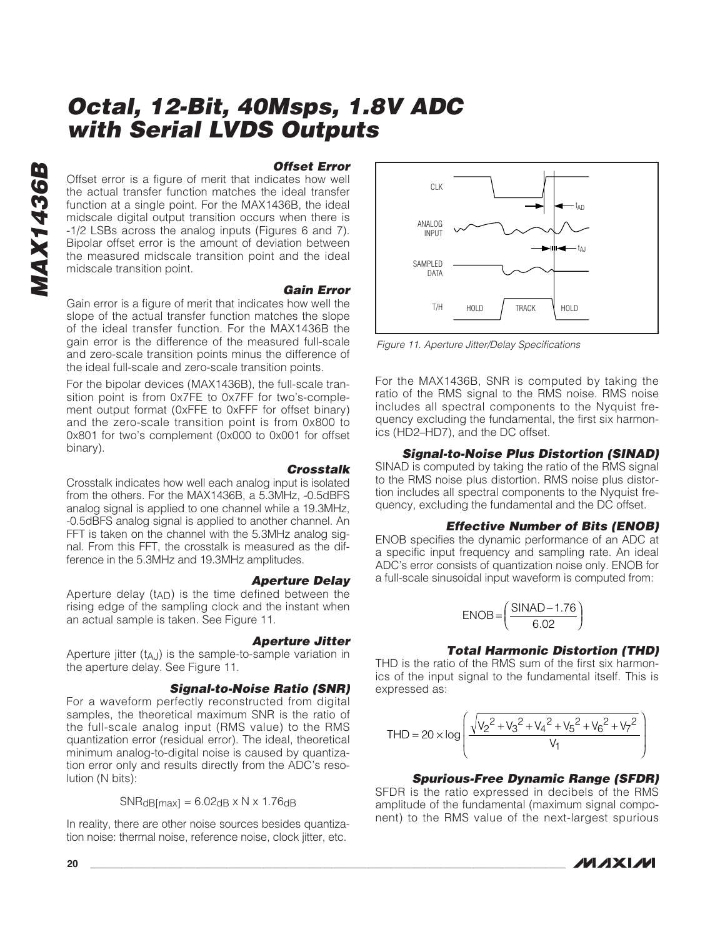### **Offset Error**

Offset error is a figure of merit that indicates how well the actual transfer function matches the ideal transfer function at a single point. For the MAX1436B, the ideal midscale digital output transition occurs when there is -1/2 LSBs across the analog inputs (Figures 6 and 7). Bipolar offset error is the amount of deviation between the measured midscale transition point and the ideal midscale transition point.

### **Gain Error**

Gain error is a figure of merit that indicates how well the slope of the actual transfer function matches the slope of the ideal transfer function. For the MAX1436B the gain error is the difference of the measured full-scale and zero-scale transition points minus the difference of the ideal full-scale and zero-scale transition points.

For the bipolar devices (MAX1436B), the full-scale transition point is from 0x7FE to 0x7FF for two's-complement output format (0xFFE to 0xFFF for offset binary) and the zero-scale transition point is from 0x800 to 0x801 for two's complement (0x000 to 0x001 for offset binary).

#### **Crosstalk**

Crosstalk indicates how well each analog input is isolated from the others. For the MAX1436B, a 5.3MHz, -0.5dBFS analog signal is applied to one channel while a 19.3MHz, -0.5dBFS analog signal is applied to another channel. An FFT is taken on the channel with the 5.3MHz analog signal. From this FFT, the crosstalk is measured as the difference in the 5.3MHz and 19.3MHz amplitudes.

#### **Aperture Delay**

Aperture delay (tAD) is the time defined between the rising edge of the sampling clock and the instant when an actual sample is taken. See Figure 11.

#### **Aperture Jitter**

Aperture jitter  $(t_{A,J})$  is the sample-to-sample variation in the aperture delay. See Figure 11.

#### **Signal-to-Noise Ratio (SNR)**

For a waveform perfectly reconstructed from digital samples, the theoretical maximum SNR is the ratio of the full-scale analog input (RMS value) to the RMS quantization error (residual error). The ideal, theoretical minimum analog-to-digital noise is caused by quantization error only and results directly from the ADC's resolution (N bits):

$$
SNR_{dB(max]} = 6.02_{dB} \times N \times 1.76_{dB}
$$

In reality, there are other noise sources besides quantization noise: thermal noise, reference noise, clock jitter, etc.



Figure 11. Aperture Jitter/Delay Specifications

For the MAX1436B, SNR is computed by taking the ratio of the RMS signal to the RMS noise. RMS noise includes all spectral components to the Nyquist frequency excluding the fundamental, the first six harmonics (HD2–HD7), and the DC offset.

#### **Signal-to-Noise Plus Distortion (SINAD)**

SINAD is computed by taking the ratio of the RMS signal to the RMS noise plus distortion. RMS noise plus distortion includes all spectral components to the Nyquist frequency, excluding the fundamental and the DC offset.

#### **Effective Number of Bits (ENOB)**

ENOB specifies the dynamic performance of an ADC at a specific input frequency and sampling rate. An ideal ADC's error consists of quantization noise only. ENOB for a full-scale sinusoidal input waveform is computed from:

$$
ENOB = \left(\frac{SINAD - 1.76}{6.02}\right)
$$

### **Total Harmonic Distortion (THD)**

THD is the ratio of the RMS sum of the first six harmonics of the input signal to the fundamental itself. This is expressed as:

$$
THD = 20 \times \log \left( \frac{\sqrt{{v_2}^2 + {v_3}^2 + {v_4}^2 + {v_5}^2 + {v_6}^2 + {v_7}^2}}{v_1} \right)
$$

#### **Spurious-Free Dynamic Range (SFDR)**

SFDR is the ratio expressed in decibels of the RMS amplitude of the fundamental (maximum signal component) to the RMS value of the next-largest spurious

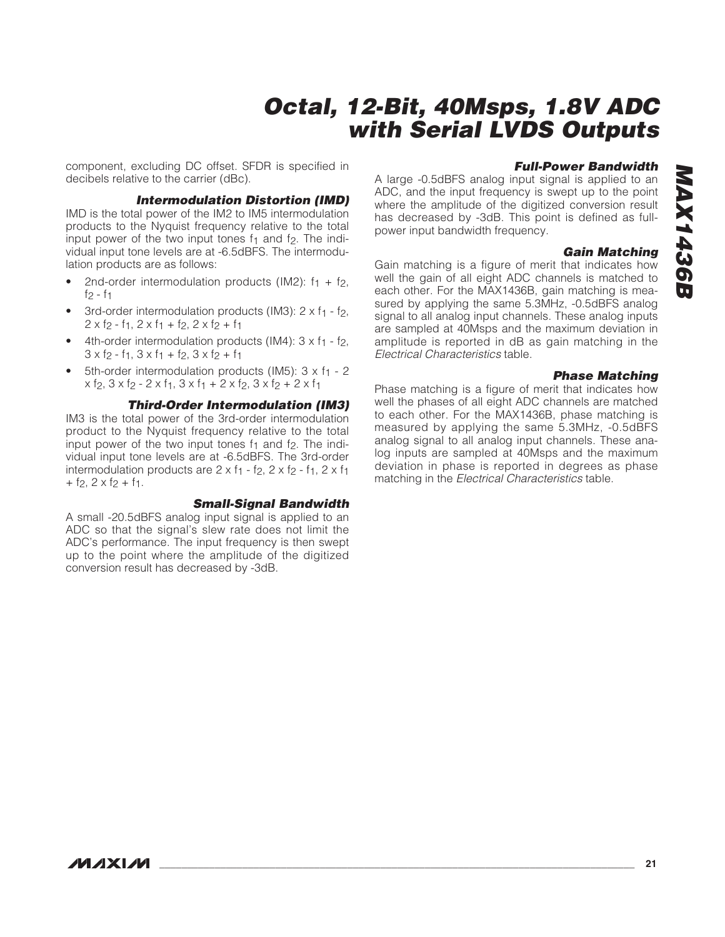# **MAX1436B MAX1436B**

# **Octal, 12-Bit, 40Msps, 1.8V ADC with Serial LVDS Outputs**

component, excluding DC offset. SFDR is specified in decibels relative to the carrier (dBc).

### **Intermodulation Distortion (IMD)**

IMD is the total power of the IM2 to IM5 intermodulation products to the Nyquist frequency relative to the total input power of the two input tones  $f_1$  and  $f_2$ . The individual input tone levels are at -6.5dBFS. The intermodulation products are as follows:

- 2nd-order intermodulation products (IM2):  $f_1 + f_2$ ,  $f_2 - f_1$
- 3rd-order intermodulation products (IM3):  $2 \times f_1 f_2$ ,  $2 \times f_2 - f_1$ ,  $2 \times f_1 + f_2$ ,  $2 \times f_2 + f_1$
- 4th-order intermodulation products (IM4):  $3 \times f_1 f_2$ ,  $3 \times f_2 - f_1$ ,  $3 \times f_1 + f_2$ ,  $3 \times f_2 + f_1$
- 5th-order intermodulation products (IM5):  $3 \times f_1 2$  $x$  f<sub>2</sub>,  $3 x$  f<sub>2</sub> -  $2 x$  f<sub>1</sub>,  $3 x$  f<sub>1</sub> +  $2 x$  f<sub>2</sub>,  $3 x$  f<sub>2</sub> +  $2 x$  f<sub>1</sub>

### **Third-Order Intermodulation (IM3)**

IM3 is the total power of the 3rd-order intermodulation product to the Nyquist frequency relative to the total input power of the two input tones  $f_1$  and  $f_2$ . The individual input tone levels are at -6.5dBFS. The 3rd-order intermodulation products are  $2 \times f_1 - f_2$ ,  $2 \times f_2 - f_1$ ,  $2 \times f_1$  $+ f<sub>2</sub>, 2 \times f<sub>2</sub> + f<sub>1</sub>.$ 

#### **Small-Signal Bandwidth**

A small -20.5dBFS analog input signal is applied to an ADC so that the signal's slew rate does not limit the ADC's performance. The input frequency is then swept up to the point where the amplitude of the digitized conversion result has decreased by -3dB.

### **Full-Power Bandwidth**

A large -0.5dBFS analog input signal is applied to an ADC, and the input frequency is swept up to the point where the amplitude of the digitized conversion result has decreased by -3dB. This point is defined as fullpower input bandwidth frequency.

### **Gain Matching**

Gain matching is a figure of merit that indicates how well the gain of all eight ADC channels is matched to each other. For the MAX1436B, gain matching is measured by applying the same 5.3MHz, -0.5dBFS analog signal to all analog input channels. These analog inputs are sampled at 40Msps and the maximum deviation in amplitude is reported in dB as gain matching in the Electrical Characteristics table.

### **Phase Matching**

Phase matching is a figure of merit that indicates how well the phases of all eight ADC channels are matched to each other. For the MAX1436B, phase matching is measured by applying the same 5.3MHz, -0.5dBFS analog signal to all analog input channels. These analog inputs are sampled at 40Msps and the maximum deviation in phase is reported in degrees as phase matching in the Electrical Characteristics table.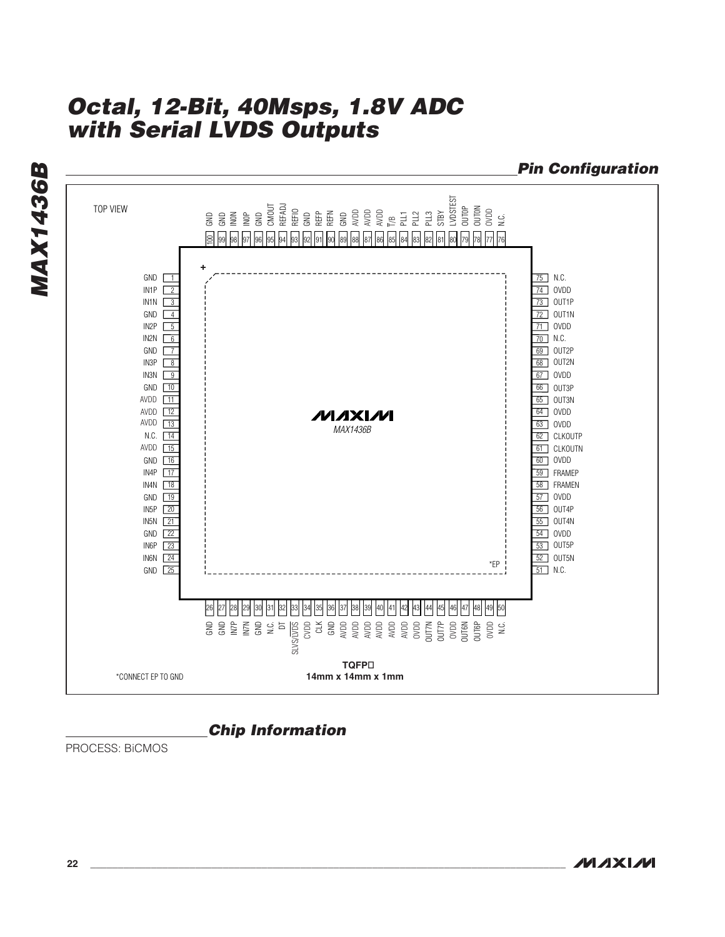**Pin Configuration MAX1436B MAX1436B** STAND STAND FOR STANDARD STANDARD STANDARD STANDARD STANDARD STANDARD STANDARD STANDARD STANDARD STANDARD STAN<br>STANDARD STANDARD STANDARD STANDARD STANDARD STANDARD STANDARD STANDARD STANDARD STANDARD STANDARD STANDARD ST<br> TOP VIEW 94 93 92 91 90 89 88 87 86 85 84 83 82 81 80 79 78 77 76  $9999979695$ **+** GND  $\boxed{1}$ 75 N.C. IN1P 2 74 OVDD IN1N  $\sqrt{3}$ 73 | OUT1P GND 4 72 OUT1N 71 OVDD IN2P 5 6 IN2N 70 N.C. GND <u>| 7</u> 69 OUT2P IN3P  $\sqrt{8}$ 68 OUT2N IN3N  $\sqrt{9}$ 67 OVDD GND 10 66 | OUT3P AVDD 11 65 | OUT3N AVDD <u>12</u> 64 OVDD **MAXIVI** AVDD 13 63 OVDD *MAX1436B* N.C. 14 62 CLKOUTP AVDD 15 61 CLKOUTN GND 16 60 OVDD IN4P 17 FRAMEP 59 IN4N 18 58 FRAMEN GND 19 57 OVDD 20 IN5P 56 | OUT4P 21 IN5N 55 OUT4N 22 GND 54 OVDD IN6P 23 53 | OUT5P 24 IN6N 52 JOUT5N \*EP GND 25 N.C. 51 26 27 28 29 30 31 32 33 34 35 36 37 38 39 40 41 42 43 44 45 46 47 48 49 50 GND N.C. DT CVDD N.C. GND GND IN7P IN7N AVDD AVDD AVDD AVDD AVDD CLK GND AVDD OUT7P OVDD OUT6N 0VDD OUT7N OVDD OUT6P SLVS/LVDS **TQFP** \*CONNECT EP TO GND **14mm x 14mm x 1mm**

### **Chip Information**

PROCESS: BiCMOS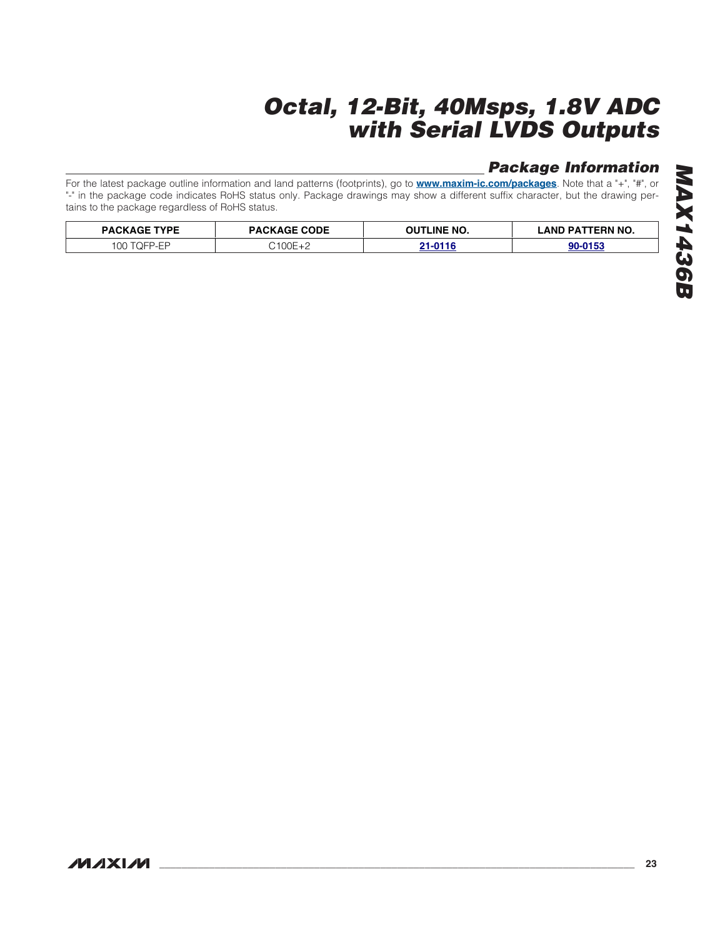# **Package Information**

For the latest package outline information and land patterns (footprints), go to **[www.maxim-ic.com/packages](http://www.maxim-ic.com/packages)**. Note that a "+", "#", or "-" in the package code indicates RoHS status only. Package drawings may show a different suffix character, but the drawing pertains to the package regardless of RoHS status.

| <b>PACKAGE TYPE</b> | <b>PACKAGE CODE</b> | OUTLINE NO. | TERN NO.<br>LAND PAT |  |
|---------------------|---------------------|-------------|----------------------|--|
| OC                  | $2100F +$           | ni niic     | 00.0159              |  |